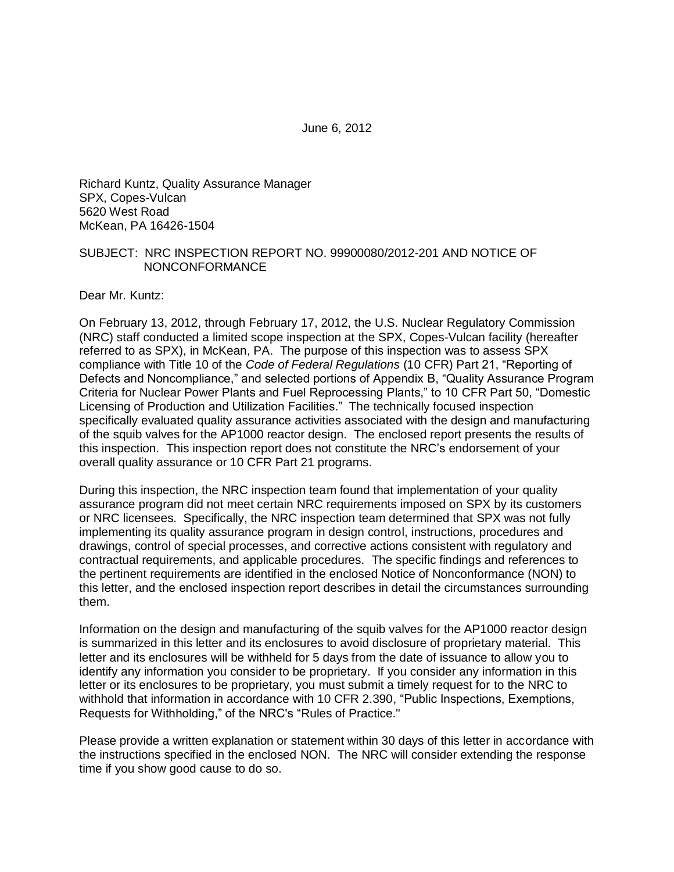June 6, 2012

Richard Kuntz, Quality Assurance Manager SPX, Copes-Vulcan 5620 West Road McKean, PA 16426-1504

#### SUBJECT: NRC INSPECTION REPORT NO. 99900080/2012-201 AND NOTICE OF NONCONFORMANCE

Dear Mr. Kuntz:

On February 13, 2012, through February 17, 2012, the U.S. Nuclear Regulatory Commission (NRC) staff conducted a limited scope inspection at the SPX, Copes-Vulcan facility (hereafter referred to as SPX), in McKean, PA. The purpose of this inspection was to assess SPX compliance with Title 10 of the *Code of Federal Regulations* (10 CFR) Part 21, "Reporting of Defects and Noncompliance," and selected portions of Appendix B, "Quality Assurance Program Criteria for Nuclear Power Plants and Fuel Reprocessing Plants," to 10 CFR Part 50, "Domestic Licensing of Production and Utilization Facilities." The technically focused inspection specifically evaluated quality assurance activities associated with the design and manufacturing of the squib valves for the AP1000 reactor design. The enclosed report presents the results of this inspection. This inspection report does not constitute the NRC's endorsement of your overall quality assurance or 10 CFR Part 21 programs.

During this inspection, the NRC inspection team found that implementation of your quality assurance program did not meet certain NRC requirements imposed on SPX by its customers or NRC licensees. Specifically, the NRC inspection team determined that SPX was not fully implementing its quality assurance program in design control, instructions, procedures and drawings, control of special processes, and corrective actions consistent with regulatory and contractual requirements, and applicable procedures. The specific findings and references to the pertinent requirements are identified in the enclosed Notice of Nonconformance (NON) to this letter, and the enclosed inspection report describes in detail the circumstances surrounding them.

Information on the design and manufacturing of the squib valves for the AP1000 reactor design is summarized in this letter and its enclosures to avoid disclosure of proprietary material. This letter and its enclosures will be withheld for 5 days from the date of issuance to allow you to identify any information you consider to be proprietary. If you consider any information in this letter or its enclosures to be proprietary, you must submit a timely request for to the NRC to withhold that information in accordance with 10 CFR 2.390, "Public Inspections, Exemptions, Requests for Withholding," of the NRC's "Rules of Practice."

Please provide a written explanation or statement within 30 days of this letter in accordance with the instructions specified in the enclosed NON. The NRC will consider extending the response time if you show good cause to do so.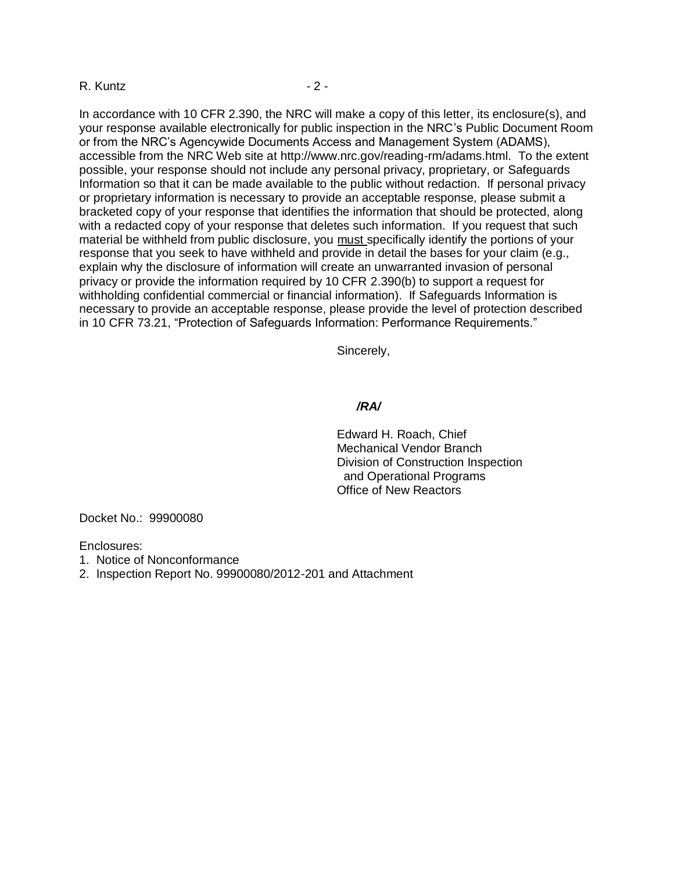#### R. Kuntz - 2 -

In accordance with 10 CFR 2.390, the NRC will make a copy of this letter, its enclosure(s), and your response available electronically for public inspection in the NRC's Public Document Room or from the NRC's Agencywide Documents Access and Management System (ADAMS), accessible from the NRC Web site at [http://www.nrc.gov/reading-rm/adams.html.](http://www.nrc.gov/reading-rm/adams.html) To the extent possible, your response should not include any personal privacy, proprietary, or Safeguards Information so that it can be made available to the public without redaction. If personal privacy or proprietary information is necessary to provide an acceptable response, please submit a bracketed copy of your response that identifies the information that should be protected, along with a redacted copy of your response that deletes such information. If you request that such material be withheld from public disclosure, you must specifically identify the portions of your response that you seek to have withheld and provide in detail the bases for your claim (e.g., explain why the disclosure of information will create an unwarranted invasion of personal privacy or provide the information required by 10 CFR 2.390(b) to support a request for withholding confidential commercial or financial information). If Safeguards Information is necessary to provide an acceptable response, please provide the level of protection described in 10 CFR 73.21, "Protection of Safeguards Information: Performance Requirements."

Sincerely,

#### */RA/*

Edward H. Roach, Chief Mechanical Vendor Branch Division of Construction Inspection and Operational Programs Office of New Reactors

Docket No.: 99900080

Enclosures:

- 1. Notice of Nonconformance
- 2. Inspection Report No. 99900080/2012-201 and Attachment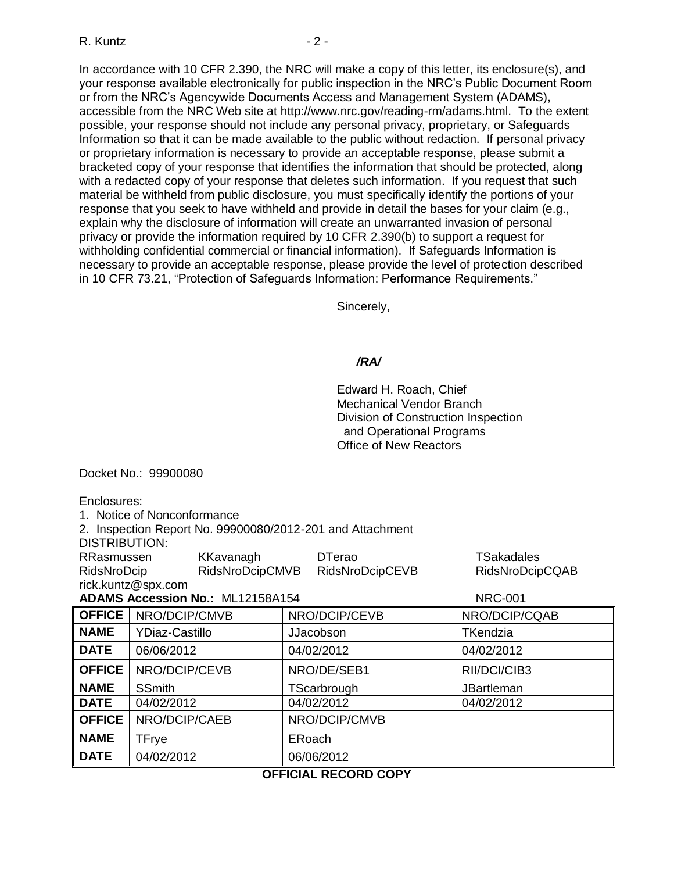In accordance with 10 CFR 2.390, the NRC will make a copy of this letter, its enclosure(s), and your response available electronically for public inspection in the NRC's Public Document Room or from the NRC's Agencywide Documents Access and Management System (ADAMS), accessible from the NRC Web site at [http://www.nrc.gov/reading-rm/adams.html.](http://www.nrc.gov/reading-rm/adams.html) To the extent possible, your response should not include any personal privacy, proprietary, or Safeguards Information so that it can be made available to the public without redaction. If personal privacy or proprietary information is necessary to provide an acceptable response, please submit a bracketed copy of your response that identifies the information that should be protected, along with a redacted copy of your response that deletes such information. If you request that such material be withheld from public disclosure, you must specifically identify the portions of your response that you seek to have withheld and provide in detail the bases for your claim (e.g., explain why the disclosure of information will create an unwarranted invasion of personal privacy or provide the information required by 10 CFR 2.390(b) to support a request for withholding confidential commercial or financial information). If Safeguards Information is necessary to provide an acceptable response, please provide the level of protection described in 10 CFR 73.21, "Protection of Safeguards Information: Performance Requirements."

Sincerely,

#### */RA/*

Edward H. Roach, Chief Mechanical Vendor Branch Division of Construction Inspection and Operational Programs Office of New Reactors

Docket No.: 99900080

Enclosures:

1. Notice of Nonconformance

2. Inspection Report No. 99900080/2012-201 and Attachment

DISTRIBUTION:

| RRasmussen  | KKavanagh       | <b>DTerao</b>   | TSakadales             |
|-------------|-----------------|-----------------|------------------------|
| RidsNroDcip | RidsNroDcipCMVB | RidsNroDcipCEVB | <b>RidsNroDcipCQAB</b> |
| $\cdots$    |                 |                 |                        |

rick.kuntz@spx.com **ADAMS Accession No.:** ML12158A154 NRC-001

| ADAMS ACCESSION NO. MLIZIOOAI04 |                       | <b>INRU-UU I</b> |                   |  |  |
|---------------------------------|-----------------------|------------------|-------------------|--|--|
| <b>OFFICE</b>                   | NRO/DCIP/CMVB         | NRO/DCIP/CEVB    | NRO/DCIP/CQAB     |  |  |
| <b>NAME</b>                     | <b>YDiaz-Castillo</b> | <b>JJacobson</b> | <b>TKendzia</b>   |  |  |
| <b>DATE</b>                     | 06/06/2012            | 04/02/2012       | 04/02/2012        |  |  |
| <b>OFFICE</b>                   | NRO/DCIP/CEVB         | NRO/DE/SEB1      | RII/DCI/CIB3      |  |  |
| <b>NAME</b>                     | <b>SSmith</b>         | TScarbrough      | <b>JBartleman</b> |  |  |
| <b>DATE</b>                     | 04/02/2012            | 04/02/2012       | 04/02/2012        |  |  |
| <b>OFFICE</b>                   | NRO/DCIP/CAEB         | NRO/DCIP/CMVB    |                   |  |  |
| <b>NAME</b>                     | <b>TFrye</b>          | ERoach           |                   |  |  |
| <b>DATE</b>                     | 04/02/2012            | 06/06/2012       |                   |  |  |
|                                 |                       |                  |                   |  |  |

# **OFFICIAL RECORD COPY**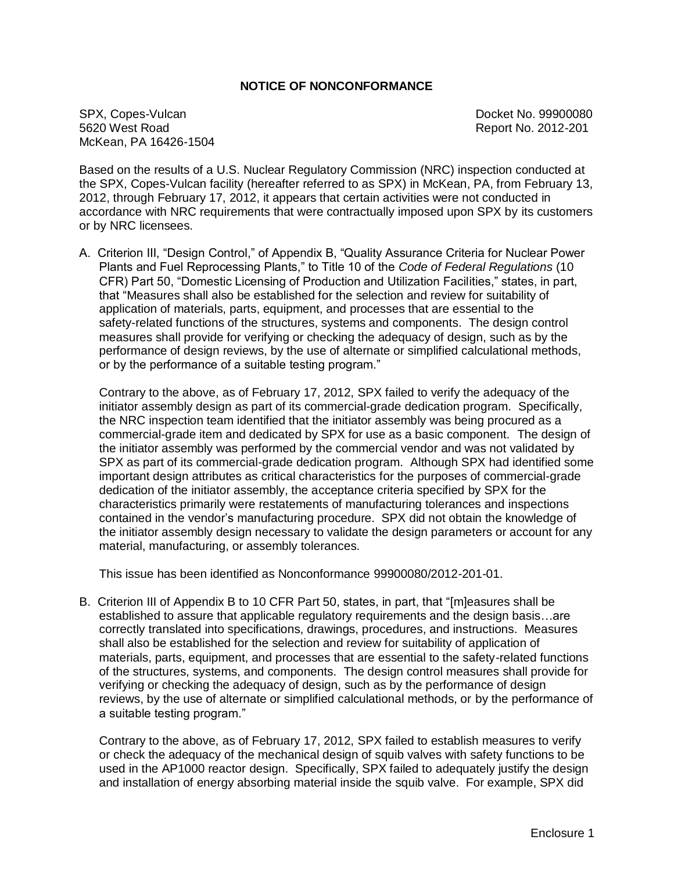#### **NOTICE OF NONCONFORMANCE**

SPX, Copes-Vulcan Docket No. 99900080 5620 West Road Report No. 2012-201 McKean, PA 16426-1504

Based on the results of a U.S. Nuclear Regulatory Commission (NRC) inspection conducted at the SPX, Copes-Vulcan facility (hereafter referred to as SPX) in McKean, PA, from February 13, 2012, through February 17, 2012, it appears that certain activities were not conducted in accordance with NRC requirements that were contractually imposed upon SPX by its customers or by NRC licensees.

A. Criterion III, "Design Control," of Appendix B, "Quality Assurance Criteria for Nuclear Power Plants and Fuel Reprocessing Plants," to Title 10 of the *Code of Federal Regulations* (10 CFR) Part 50, "Domestic Licensing of Production and Utilization Facilities," states, in part, that "Measures shall also be established for the selection and review for suitability of application of materials, parts, equipment, and processes that are essential to the safety-related functions of the structures, systems and components. The design control measures shall provide for verifying or checking the adequacy of design, such as by the performance of design reviews, by the use of alternate or simplified calculational methods, or by the performance of a suitable testing program."

Contrary to the above, as of February 17, 2012, SPX failed to verify the adequacy of the initiator assembly design as part of its commercial-grade dedication program. Specifically, the NRC inspection team identified that the initiator assembly was being procured as a commercial-grade item and dedicated by SPX for use as a basic component. The design of the initiator assembly was performed by the commercial vendor and was not validated by SPX as part of its commercial-grade dedication program. Although SPX had identified some important design attributes as critical characteristics for the purposes of commercial-grade dedication of the initiator assembly, the acceptance criteria specified by SPX for the characteristics primarily were restatements of manufacturing tolerances and inspections contained in the vendor's manufacturing procedure. SPX did not obtain the knowledge of the initiator assembly design necessary to validate the design parameters or account for any material, manufacturing, or assembly tolerances.

This issue has been identified as Nonconformance 99900080/2012-201-01.

B. Criterion III of Appendix B to 10 CFR Part 50, states, in part, that "[m]easures shall be established to assure that applicable regulatory requirements and the design basis…are correctly translated into specifications, drawings, procedures, and instructions. Measures shall also be established for the selection and review for suitability of application of materials, parts, equipment, and processes that are essential to the safety-related functions of the structures, systems, and components. The design control measures shall provide for verifying or checking the adequacy of design, such as by the performance of design reviews, by the use of alternate or simplified calculational methods, or by the performance of a suitable testing program."

Contrary to the above, as of February 17, 2012, SPX failed to establish measures to verify or check the adequacy of the mechanical design of squib valves with safety functions to be used in the AP1000 reactor design. Specifically, SPX failed to adequately justify the design and installation of energy absorbing material inside the squib valve. For example, SPX did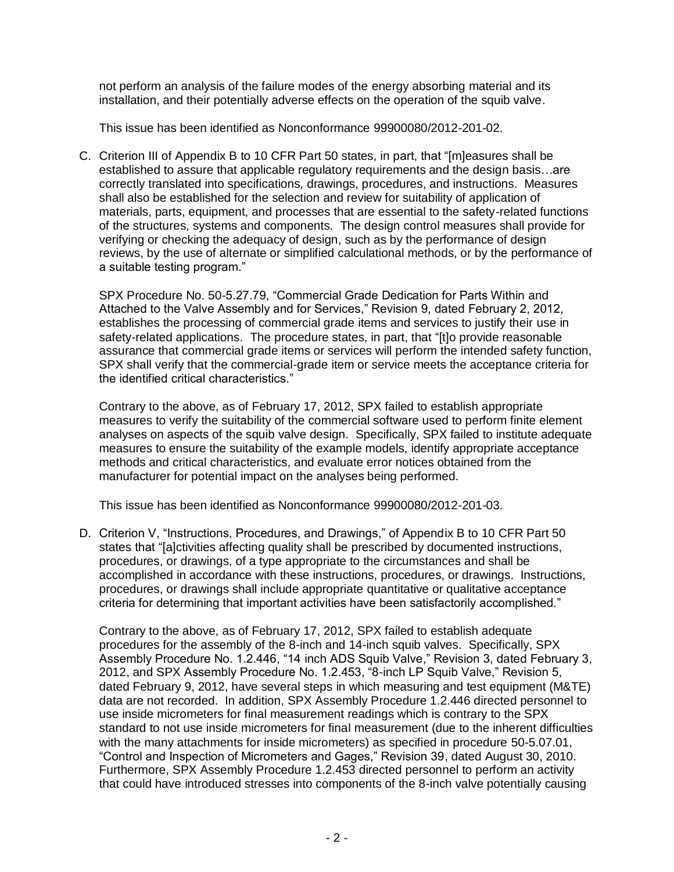not perform an analysis of the failure modes of the energy absorbing material and its installation, and their potentially adverse effects on the operation of the squib valve.

This issue has been identified as Nonconformance 99900080/2012-201-02.

C. Criterion III of Appendix B to 10 CFR Part 50 states, in part, that "[m]easures shall be established to assure that applicable regulatory requirements and the design basis…are correctly translated into specifications, drawings, procedures, and instructions. Measures shall also be established for the selection and review for suitability of application of materials, parts, equipment, and processes that are essential to the safety-related functions of the structures, systems and components. The design control measures shall provide for verifying or checking the adequacy of design, such as by the performance of design reviews, by the use of alternate or simplified calculational methods, or by the performance of a suitable testing program."

SPX Procedure No. 50-5.27.79, "Commercial Grade Dedication for Parts Within and Attached to the Valve Assembly and for Services," Revision 9, dated February 2, 2012, establishes the processing of commercial grade items and services to justify their use in safety-related applications. The procedure states, in part, that "[t]o provide reasonable assurance that commercial grade items or services will perform the intended safety function, SPX shall verify that the commercial-grade item or service meets the acceptance criteria for the identified critical characteristics."

Contrary to the above, as of February 17, 2012, SPX failed to establish appropriate measures to verify the suitability of the commercial software used to perform finite element analyses on aspects of the squib valve design. Specifically, SPX failed to institute adequate measures to ensure the suitability of the example models, identify appropriate acceptance methods and critical characteristics, and evaluate error notices obtained from the manufacturer for potential impact on the analyses being performed.

This issue has been identified as Nonconformance 99900080/2012-201-03.

D. Criterion V, "Instructions, Procedures, and Drawings," of Appendix B to 10 CFR Part 50 states that "[a]ctivities affecting quality shall be prescribed by documented instructions, procedures, or drawings, of a type appropriate to the circumstances and shall be accomplished in accordance with these instructions, procedures, or drawings. Instructions, procedures, or drawings shall include appropriate quantitative or qualitative acceptance criteria for determining that important activities have been satisfactorily accomplished."

Contrary to the above, as of February 17, 2012, SPX failed to establish adequate procedures for the assembly of the 8-inch and 14-inch squib valves. Specifically, SPX Assembly Procedure No. 1.2.446, "14 inch ADS Squib Valve," Revision 3, dated February 3, 2012, and SPX Assembly Procedure No. 1.2.453, "8-inch LP Squib Valve," Revision 5, dated February 9, 2012, have several steps in which measuring and test equipment (M&TE) data are not recorded. In addition, SPX Assembly Procedure 1.2.446 directed personnel to use inside micrometers for final measurement readings which is contrary to the SPX standard to not use inside micrometers for final measurement (due to the inherent difficulties with the many attachments for inside micrometers) as specified in procedure 50-5.07.01, "Control and Inspection of Micrometers and Gages," Revision 39, dated August 30, 2010. Furthermore, SPX Assembly Procedure 1.2.453 directed personnel to perform an activity that could have introduced stresses into components of the 8-inch valve potentially causing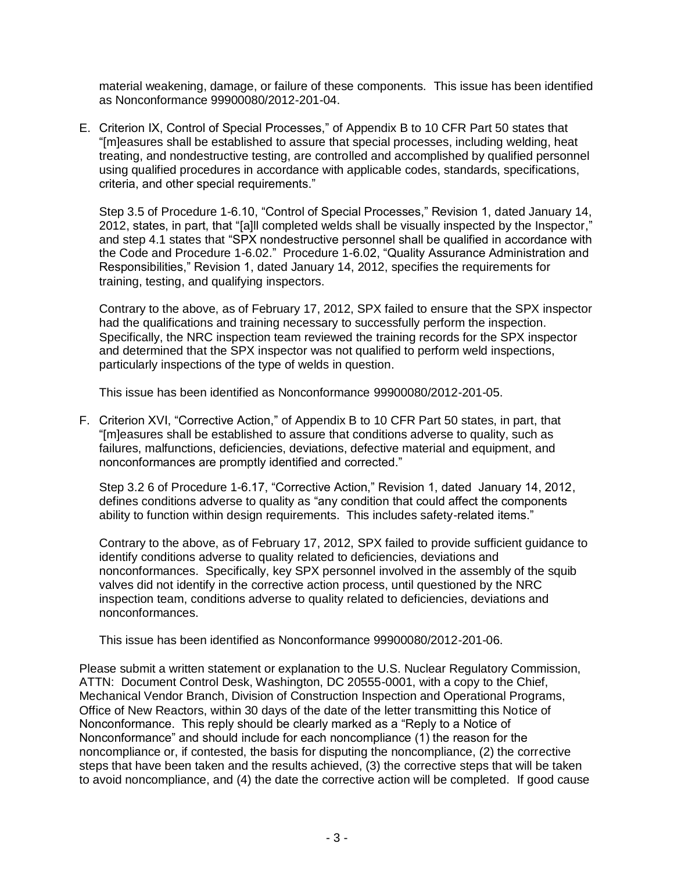material weakening, damage, or failure of these components. This issue has been identified as Nonconformance 99900080/2012-201-04.

E. Criterion IX, Control of Special Processes," of Appendix B to 10 CFR Part 50 states that "[m]easures shall be established to assure that special processes, including welding, heat treating, and nondestructive testing, are controlled and accomplished by qualified personnel using qualified procedures in accordance with applicable codes, standards, specifications, criteria, and other special requirements."

Step 3.5 of Procedure 1-6.10, "Control of Special Processes," Revision 1, dated January 14, 2012, states, in part, that "[a]ll completed welds shall be visually inspected by the Inspector," and step 4.1 states that "SPX nondestructive personnel shall be qualified in accordance with the Code and Procedure 1-6.02." Procedure 1-6.02, "Quality Assurance Administration and Responsibilities," Revision 1, dated January 14, 2012, specifies the requirements for training, testing, and qualifying inspectors.

Contrary to the above, as of February 17, 2012, SPX failed to ensure that the SPX inspector had the qualifications and training necessary to successfully perform the inspection. Specifically, the NRC inspection team reviewed the training records for the SPX inspector and determined that the SPX inspector was not qualified to perform weld inspections, particularly inspections of the type of welds in question.

This issue has been identified as Nonconformance 99900080/2012-201-05.

F. Criterion XVI, "Corrective Action," of Appendix B to 10 CFR Part 50 states, in part, that "[m]easures shall be established to assure that conditions adverse to quality, such as failures, malfunctions, deficiencies, deviations, defective material and equipment, and nonconformances are promptly identified and corrected."

Step 3.2 6 of Procedure 1-6.17, "Corrective Action," Revision 1, dated January 14, 2012, defines conditions adverse to quality as "any condition that could affect the components ability to function within design requirements. This includes safety-related items."

Contrary to the above, as of February 17, 2012, SPX failed to provide sufficient guidance to identify conditions adverse to quality related to deficiencies, deviations and nonconformances. Specifically, key SPX personnel involved in the assembly of the squib valves did not identify in the corrective action process, until questioned by the NRC inspection team, conditions adverse to quality related to deficiencies, deviations and nonconformances.

This issue has been identified as Nonconformance 99900080/2012-201-06.

Please submit a written statement or explanation to the U.S. Nuclear Regulatory Commission, ATTN: Document Control Desk, Washington, DC 20555-0001, with a copy to the Chief, Mechanical Vendor Branch, Division of Construction Inspection and Operational Programs, Office of New Reactors, within 30 days of the date of the letter transmitting this Notice of Nonconformance. This reply should be clearly marked as a "Reply to a Notice of Nonconformance" and should include for each noncompliance (1) the reason for the noncompliance or, if contested, the basis for disputing the noncompliance, (2) the corrective steps that have been taken and the results achieved, (3) the corrective steps that will be taken to avoid noncompliance, and (4) the date the corrective action will be completed. If good cause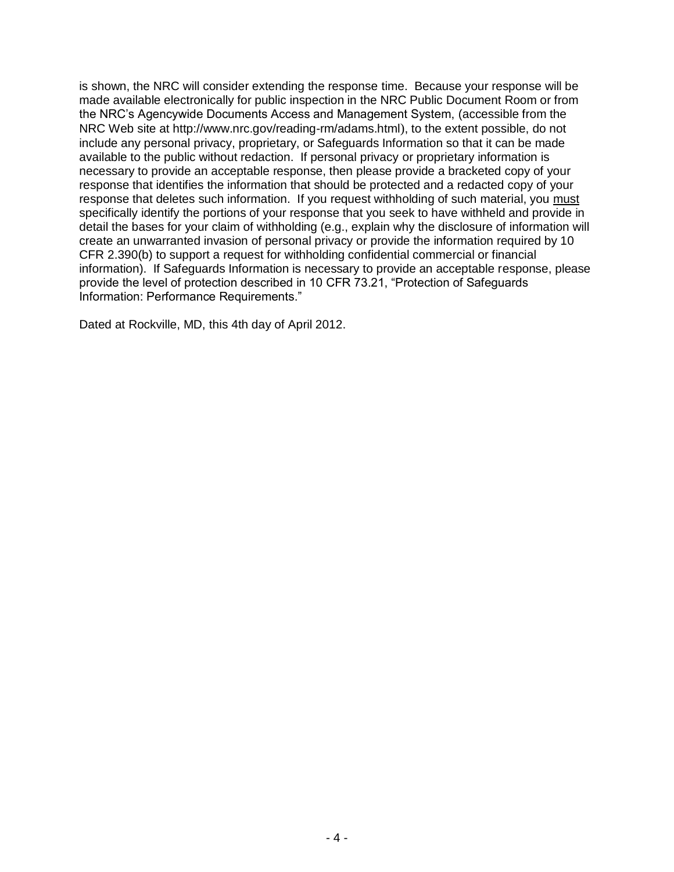is shown, the NRC will consider extending the response time. Because your response will be made available electronically for public inspection in the NRC Public Document Room or from the NRC's Agencywide Documents Access and Management System, (accessible from the NRC Web site at<http://www.nrc.gov/reading-rm/adams.html>), to the extent possible, do not include any personal privacy, proprietary, or Safeguards Information so that it can be made available to the public without redaction. If personal privacy or proprietary information is necessary to provide an acceptable response, then please provide a bracketed copy of your response that identifies the information that should be protected and a redacted copy of your response that deletes such information. If you request withholding of such material, you must specifically identify the portions of your response that you seek to have withheld and provide in detail the bases for your claim of withholding (e.g., explain why the disclosure of information will create an unwarranted invasion of personal privacy or provide the information required by 10 CFR 2.390(b) to support a request for withholding confidential commercial or financial information). If Safeguards Information is necessary to provide an acceptable response, please provide the level of protection described in 10 CFR 73.21, "Protection of Safeguards Information: Performance Requirements."

Dated at Rockville, MD, this 4th day of April 2012.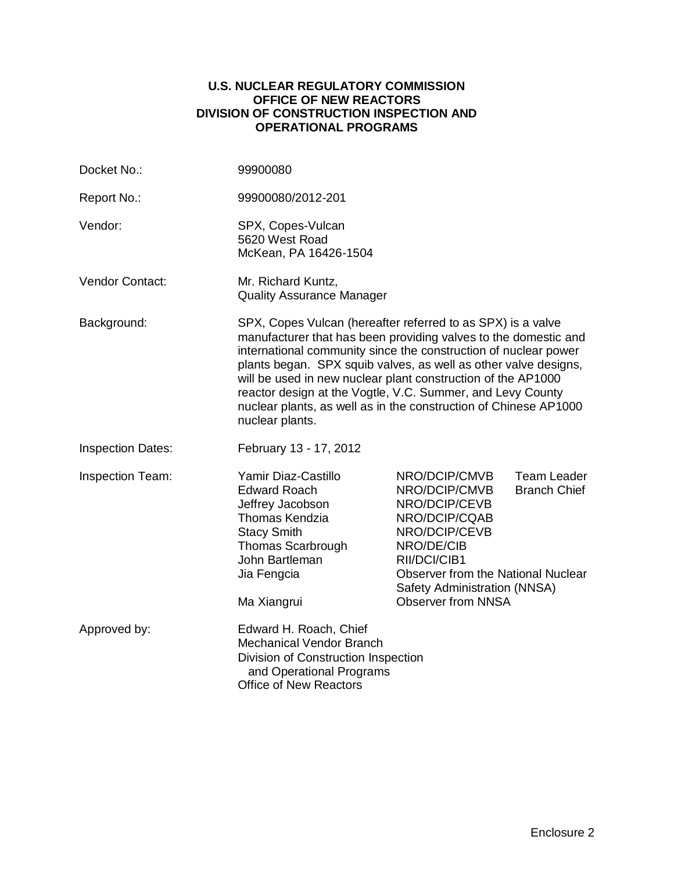#### **U.S. NUCLEAR REGULATORY COMMISSION OFFICE OF NEW REACTORS DIVISION OF CONSTRUCTION INSPECTION AND OPERATIONAL PROGRAMS**

| Docket No.:              | 99900080                                                                                                                                                                                                                                                                                                                                                                                                                                                                                  |                                                                                                                                                                                                                           |                                           |
|--------------------------|-------------------------------------------------------------------------------------------------------------------------------------------------------------------------------------------------------------------------------------------------------------------------------------------------------------------------------------------------------------------------------------------------------------------------------------------------------------------------------------------|---------------------------------------------------------------------------------------------------------------------------------------------------------------------------------------------------------------------------|-------------------------------------------|
| Report No.:              | 99900080/2012-201                                                                                                                                                                                                                                                                                                                                                                                                                                                                         |                                                                                                                                                                                                                           |                                           |
| Vendor:                  | SPX, Copes-Vulcan<br>5620 West Road<br>McKean, PA 16426-1504                                                                                                                                                                                                                                                                                                                                                                                                                              |                                                                                                                                                                                                                           |                                           |
| Vendor Contact:          | Mr. Richard Kuntz,<br><b>Quality Assurance Manager</b>                                                                                                                                                                                                                                                                                                                                                                                                                                    |                                                                                                                                                                                                                           |                                           |
| Background:              | SPX, Copes Vulcan (hereafter referred to as SPX) is a valve<br>manufacturer that has been providing valves to the domestic and<br>international community since the construction of nuclear power<br>plants began. SPX squib valves, as well as other valve designs,<br>will be used in new nuclear plant construction of the AP1000<br>reactor design at the Vogtle, V.C. Summer, and Levy County<br>nuclear plants, as well as in the construction of Chinese AP1000<br>nuclear plants. |                                                                                                                                                                                                                           |                                           |
| <b>Inspection Dates:</b> | February 13 - 17, 2012                                                                                                                                                                                                                                                                                                                                                                                                                                                                    |                                                                                                                                                                                                                           |                                           |
| Inspection Team:         | Yamir Diaz-Castillo<br><b>Edward Roach</b><br>Jeffrey Jacobson<br><b>Thomas Kendzia</b><br><b>Stacy Smith</b><br><b>Thomas Scarbrough</b><br>John Bartleman<br>Jia Fengcia<br>Ma Xiangrui                                                                                                                                                                                                                                                                                                 | NRO/DCIP/CMVB<br>NRO/DCIP/CMVB<br>NRO/DCIP/CEVB<br>NRO/DCIP/CQAB<br>NRO/DCIP/CEVB<br>NRO/DE/CIB<br>RII/DCI/CIB1<br><b>Observer from the National Nuclear</b><br>Safety Administration (NNSA)<br><b>Observer from NNSA</b> | <b>Team Leader</b><br><b>Branch Chief</b> |
| Approved by:             | Edward H. Roach, Chief<br><b>Mechanical Vendor Branch</b><br>Division of Construction Inspection<br>and Operational Programs<br><b>Office of New Reactors</b>                                                                                                                                                                                                                                                                                                                             |                                                                                                                                                                                                                           |                                           |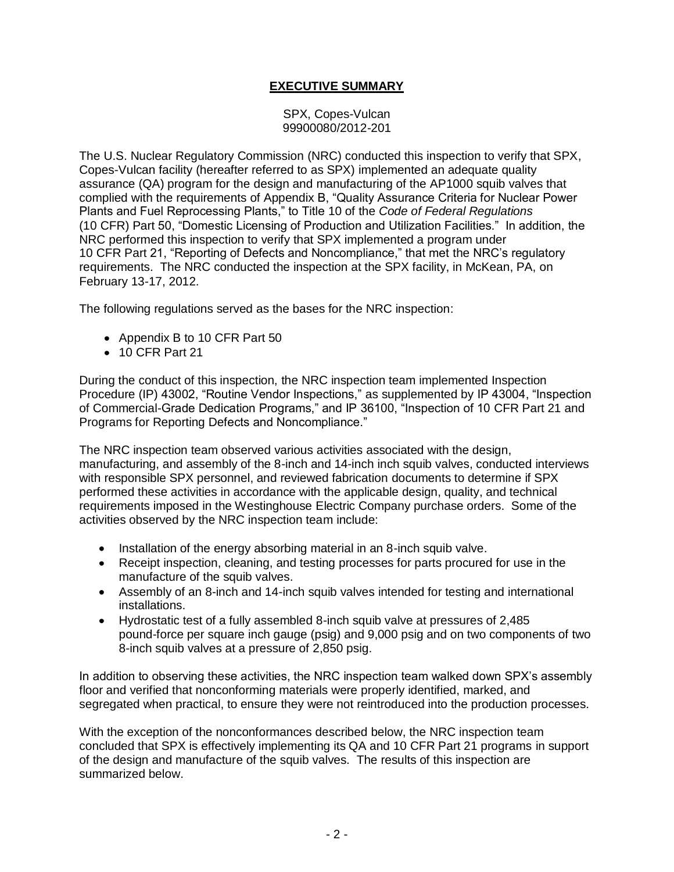## **EXECUTIVE SUMMARY**

SPX, Copes-Vulcan 99900080/2012-201

The U.S. Nuclear Regulatory Commission (NRC) conducted this inspection to verify that SPX, Copes-Vulcan facility (hereafter referred to as SPX) implemented an adequate quality assurance (QA) program for the design and manufacturing of the AP1000 squib valves that complied with the requirements of Appendix B, "Quality Assurance Criteria for Nuclear Power Plants and Fuel Reprocessing Plants," to Title 10 of the *Code of Federal Regulations* (10 CFR) Part 50, "Domestic Licensing of Production and Utilization Facilities." In addition, the NRC performed this inspection to verify that SPX implemented a program under 10 CFR Part 21, "Reporting of Defects and Noncompliance," that met the NRC's regulatory requirements. The NRC conducted the inspection at the SPX facility, in McKean, PA, on February 13-17, 2012.

The following regulations served as the bases for the NRC inspection:

- Appendix B to 10 CFR Part 50
- 10 CFR Part 21

During the conduct of this inspection, the NRC inspection team implemented Inspection Procedure (IP) 43002, "Routine Vendor Inspections," as supplemented by IP 43004, "Inspection of Commercial-Grade Dedication Programs," and IP 36100, "Inspection of 10 CFR Part 21 and Programs for Reporting Defects and Noncompliance."

The NRC inspection team observed various activities associated with the design, manufacturing, and assembly of the 8-inch and 14-inch inch squib valves, conducted interviews with responsible SPX personnel, and reviewed fabrication documents to determine if SPX performed these activities in accordance with the applicable design, quality, and technical requirements imposed in the Westinghouse Electric Company purchase orders. Some of the activities observed by the NRC inspection team include:

- Installation of the energy absorbing material in an 8-inch squib valve.
- Receipt inspection, cleaning, and testing processes for parts procured for use in the manufacture of the squib valves.
- Assembly of an 8-inch and 14-inch squib valves intended for testing and international installations.
- Hydrostatic test of a fully assembled 8-inch squib valve at pressures of 2,485 pound-force per square inch gauge (psig) and 9,000 psig and on two components of two 8-inch squib valves at a pressure of 2,850 psig.

In addition to observing these activities, the NRC inspection team walked down SPX's assembly floor and verified that nonconforming materials were properly identified, marked, and segregated when practical, to ensure they were not reintroduced into the production processes.

With the exception of the nonconformances described below, the NRC inspection team concluded that SPX is effectively implementing its QA and 10 CFR Part 21 programs in support of the design and manufacture of the squib valves. The results of this inspection are summarized below.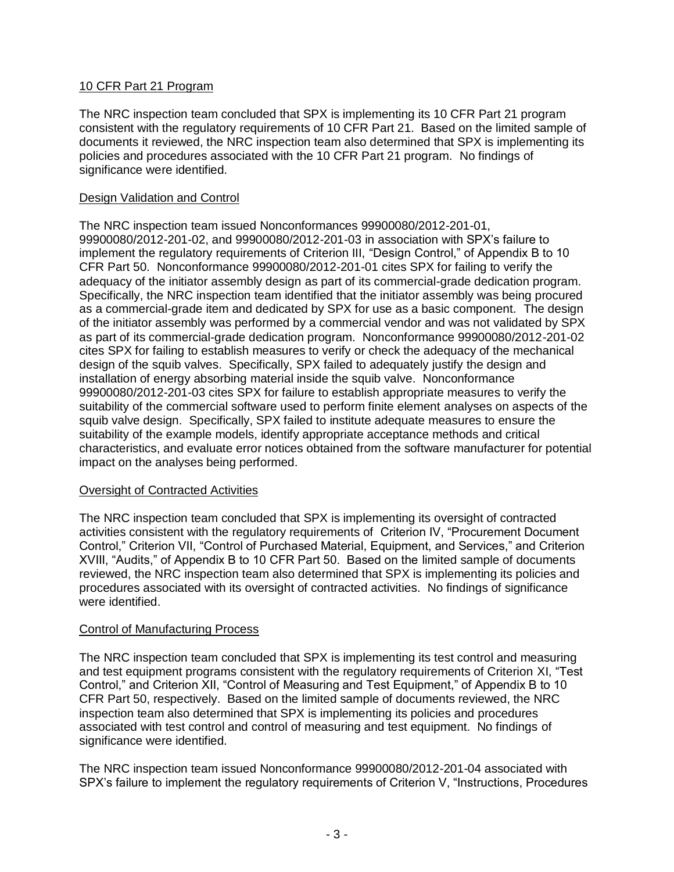### 10 CFR Part 21 Program

The NRC inspection team concluded that SPX is implementing its 10 CFR Part 21 program consistent with the regulatory requirements of 10 CFR Part 21. Based on the limited sample of documents it reviewed, the NRC inspection team also determined that SPX is implementing its policies and procedures associated with the 10 CFR Part 21 program. No findings of significance were identified.

#### Design Validation and Control

The NRC inspection team issued Nonconformances 99900080/2012-201-01, 99900080/2012-201-02, and 99900080/2012-201-03 in association with SPX's failure to implement the regulatory requirements of Criterion III, "Design Control," of Appendix B to 10 CFR Part 50. Nonconformance 99900080/2012-201-01 cites SPX for failing to verify the adequacy of the initiator assembly design as part of its commercial-grade dedication program. Specifically, the NRC inspection team identified that the initiator assembly was being procured as a commercial-grade item and dedicated by SPX for use as a basic component. The design of the initiator assembly was performed by a commercial vendor and was not validated by SPX as part of its commercial-grade dedication program. Nonconformance 99900080/2012-201-02 cites SPX for failing to establish measures to verify or check the adequacy of the mechanical design of the squib valves. Specifically, SPX failed to adequately justify the design and installation of energy absorbing material inside the squib valve. Nonconformance 99900080/2012-201-03 cites SPX for failure to establish appropriate measures to verify the suitability of the commercial software used to perform finite element analyses on aspects of the squib valve design. Specifically, SPX failed to institute adequate measures to ensure the suitability of the example models, identify appropriate acceptance methods and critical characteristics, and evaluate error notices obtained from the software manufacturer for potential impact on the analyses being performed.

#### Oversight of Contracted Activities

The NRC inspection team concluded that SPX is implementing its oversight of contracted activities consistent with the regulatory requirements of Criterion IV, "Procurement Document Control," Criterion VII, "Control of Purchased Material, Equipment, and Services," and Criterion XVIII, "Audits," of Appendix B to 10 CFR Part 50. Based on the limited sample of documents reviewed, the NRC inspection team also determined that SPX is implementing its policies and procedures associated with its oversight of contracted activities. No findings of significance were identified.

#### Control of Manufacturing Process

The NRC inspection team concluded that SPX is implementing its test control and measuring and test equipment programs consistent with the regulatory requirements of Criterion XI, "Test Control," and Criterion XII, "Control of Measuring and Test Equipment," of Appendix B to 10 CFR Part 50, respectively. Based on the limited sample of documents reviewed, the NRC inspection team also determined that SPX is implementing its policies and procedures associated with test control and control of measuring and test equipment. No findings of significance were identified.

The NRC inspection team issued Nonconformance 99900080/2012-201-04 associated with SPX's failure to implement the regulatory requirements of Criterion V, "Instructions, Procedures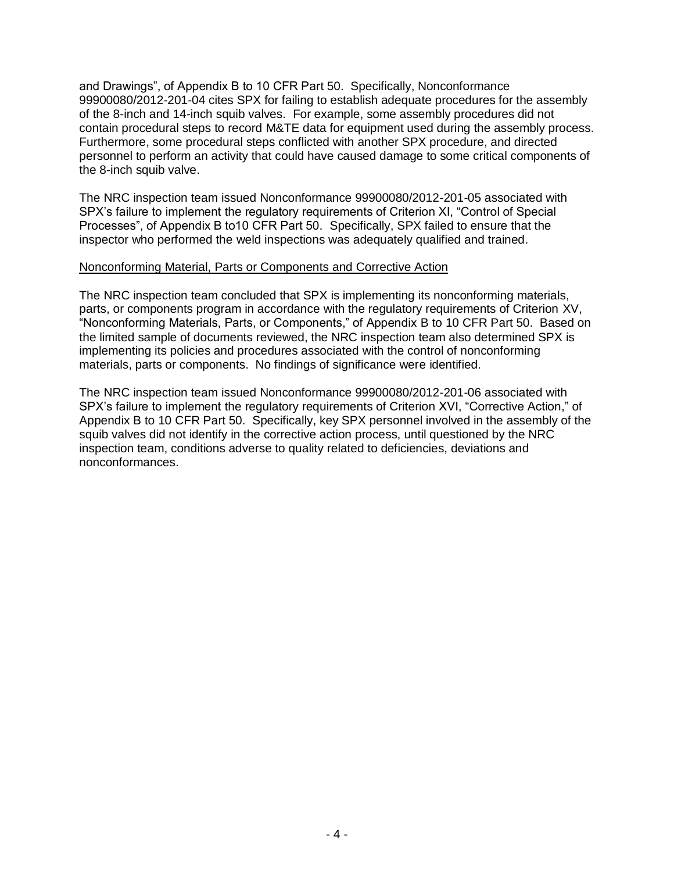and Drawings", of Appendix B to 10 CFR Part 50. Specifically, Nonconformance 99900080/2012-201-04 cites SPX for failing to establish adequate procedures for the assembly of the 8-inch and 14-inch squib valves. For example, some assembly procedures did not contain procedural steps to record M&TE data for equipment used during the assembly process. Furthermore, some procedural steps conflicted with another SPX procedure, and directed personnel to perform an activity that could have caused damage to some critical components of the 8-inch squib valve.

The NRC inspection team issued Nonconformance 99900080/2012-201-05 associated with SPX's failure to implement the regulatory requirements of Criterion XI, "Control of Special Processes", of Appendix B to10 CFR Part 50. Specifically, SPX failed to ensure that the inspector who performed the weld inspections was adequately qualified and trained.

#### Nonconforming Material, Parts or Components and Corrective Action

The NRC inspection team concluded that SPX is implementing its nonconforming materials, parts, or components program in accordance with the regulatory requirements of Criterion XV, "Nonconforming Materials, Parts, or Components," of Appendix B to 10 CFR Part 50. Based on the limited sample of documents reviewed, the NRC inspection team also determined SPX is implementing its policies and procedures associated with the control of nonconforming materials, parts or components. No findings of significance were identified.

The NRC inspection team issued Nonconformance 99900080/2012-201-06 associated with SPX's failure to implement the regulatory requirements of Criterion XVI, "Corrective Action," of Appendix B to 10 CFR Part 50. Specifically, key SPX personnel involved in the assembly of the squib valves did not identify in the corrective action process, until questioned by the NRC inspection team, conditions adverse to quality related to deficiencies, deviations and nonconformances.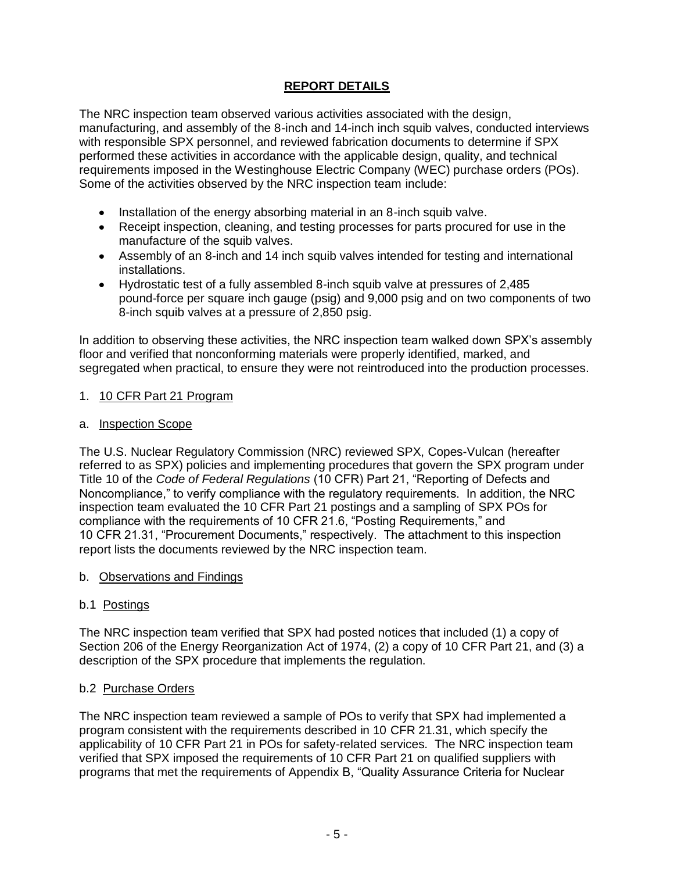## **REPORT DETAILS**

The NRC inspection team observed various activities associated with the design, manufacturing, and assembly of the 8-inch and 14-inch inch squib valves, conducted interviews with responsible SPX personnel, and reviewed fabrication documents to determine if SPX performed these activities in accordance with the applicable design, quality, and technical requirements imposed in the Westinghouse Electric Company (WEC) purchase orders (POs). Some of the activities observed by the NRC inspection team include:

- Installation of the energy absorbing material in an 8-inch squib valve.
- Receipt inspection, cleaning, and testing processes for parts procured for use in the manufacture of the squib valves.
- Assembly of an 8-inch and 14 inch squib valves intended for testing and international installations.
- Hydrostatic test of a fully assembled 8-inch squib valve at pressures of 2,485 pound-force per square inch gauge (psig) and 9,000 psig and on two components of two 8-inch squib valves at a pressure of 2,850 psig.

In addition to observing these activities, the NRC inspection team walked down SPX's assembly floor and verified that nonconforming materials were properly identified, marked, and segregated when practical, to ensure they were not reintroduced into the production processes.

#### 1. 10 CFR Part 21 Program

#### a. Inspection Scope

The U.S. Nuclear Regulatory Commission (NRC) reviewed SPX, Copes-Vulcan (hereafter referred to as SPX) policies and implementing procedures that govern the SPX program under Title 10 of the *Code of Federal Regulations* (10 CFR) Part 21, "Reporting of Defects and Noncompliance," to verify compliance with the regulatory requirements. In addition, the NRC inspection team evaluated the 10 CFR Part 21 postings and a sampling of SPX POs for compliance with the requirements of 10 CFR 21.6, "Posting Requirements," and 10 CFR 21.31, "Procurement Documents," respectively. The attachment to this inspection report lists the documents reviewed by the NRC inspection team.

#### b. Observations and Findings

#### b.1 Postings

The NRC inspection team verified that SPX had posted notices that included (1) a copy of Section 206 of the Energy Reorganization Act of 1974, (2) a copy of 10 CFR Part 21, and (3) a description of the SPX procedure that implements the regulation.

#### b.2 Purchase Orders

The NRC inspection team reviewed a sample of POs to verify that SPX had implemented a program consistent with the requirements described in 10 CFR 21.31, which specify the applicability of 10 CFR Part 21 in POs for safety-related services. The NRC inspection team verified that SPX imposed the requirements of 10 CFR Part 21 on qualified suppliers with programs that met the requirements of Appendix B, "Quality Assurance Criteria for Nuclear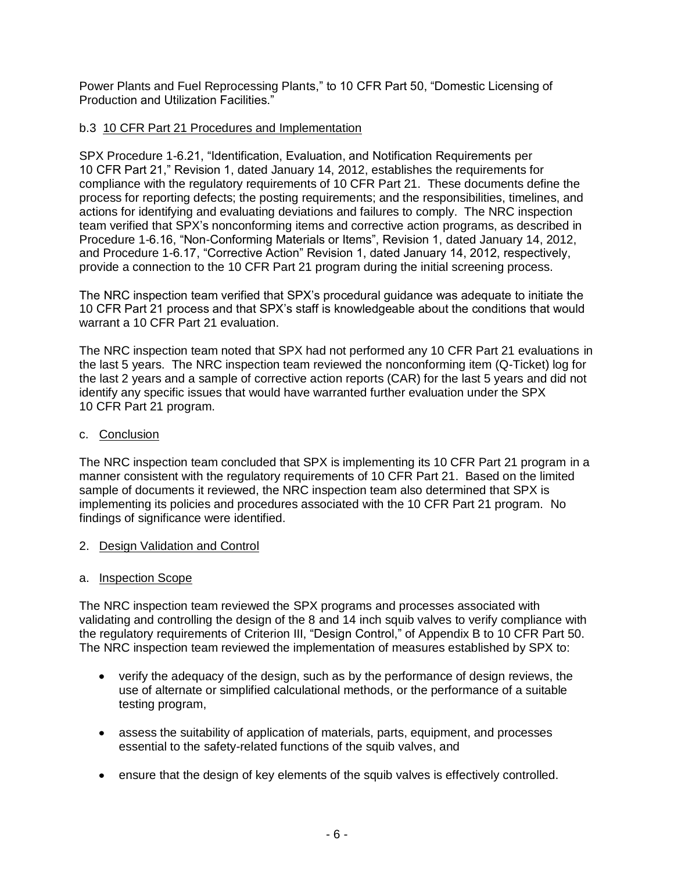Power Plants and Fuel Reprocessing Plants," to 10 CFR Part 50, "Domestic Licensing of Production and Utilization Facilities."

### b.3 10 CFR Part 21 Procedures and Implementation

SPX Procedure 1-6.21, "Identification, Evaluation, and Notification Requirements per 10 CFR Part 21," Revision 1, dated January 14, 2012, establishes the requirements for compliance with the regulatory requirements of 10 CFR Part 21. These documents define the process for reporting defects; the posting requirements; and the responsibilities, timelines, and actions for identifying and evaluating deviations and failures to comply. The NRC inspection team verified that SPX's nonconforming items and corrective action programs, as described in Procedure 1-6.16, "Non-Conforming Materials or Items", Revision 1, dated January 14, 2012, and Procedure 1-6.17, "Corrective Action" Revision 1, dated January 14, 2012, respectively, provide a connection to the 10 CFR Part 21 program during the initial screening process.

The NRC inspection team verified that SPX's procedural guidance was adequate to initiate the 10 CFR Part 21 process and that SPX's staff is knowledgeable about the conditions that would warrant a 10 CFR Part 21 evaluation.

The NRC inspection team noted that SPX had not performed any 10 CFR Part 21 evaluations in the last 5 years. The NRC inspection team reviewed the nonconforming item (Q-Ticket) log for the last 2 years and a sample of corrective action reports (CAR) for the last 5 years and did not identify any specific issues that would have warranted further evaluation under the SPX 10 CFR Part 21 program.

#### c. Conclusion

The NRC inspection team concluded that SPX is implementing its 10 CFR Part 21 program in a manner consistent with the regulatory requirements of 10 CFR Part 21. Based on the limited sample of documents it reviewed, the NRC inspection team also determined that SPX is implementing its policies and procedures associated with the 10 CFR Part 21 program. No findings of significance were identified.

#### 2. Design Validation and Control

#### a. Inspection Scope

The NRC inspection team reviewed the SPX programs and processes associated with validating and controlling the design of the 8 and 14 inch squib valves to verify compliance with the regulatory requirements of Criterion III, "Design Control," of Appendix B to 10 CFR Part 50. The NRC inspection team reviewed the implementation of measures established by SPX to:

- verify the adequacy of the design, such as by the performance of design reviews, the use of alternate or simplified calculational methods, or the performance of a suitable testing program,
- assess the suitability of application of materials, parts, equipment, and processes essential to the safety-related functions of the squib valves, and
- ensure that the design of key elements of the squib valves is effectively controlled.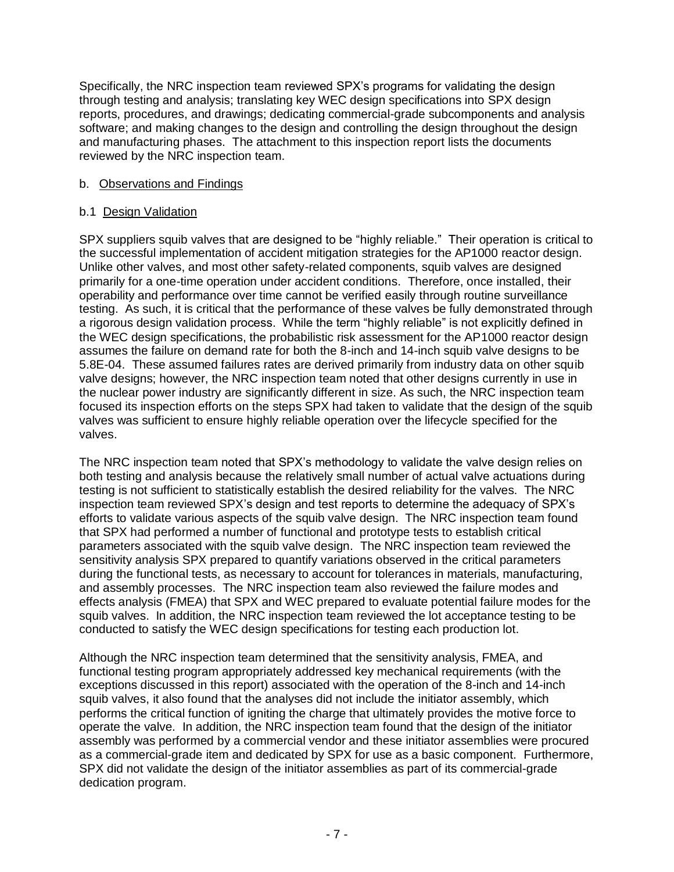Specifically, the NRC inspection team reviewed SPX's programs for validating the design through testing and analysis; translating key WEC design specifications into SPX design reports, procedures, and drawings; dedicating commercial-grade subcomponents and analysis software; and making changes to the design and controlling the design throughout the design and manufacturing phases. The attachment to this inspection report lists the documents reviewed by the NRC inspection team.

#### b. Observations and Findings

### b.1 Design Validation

SPX suppliers squib valves that are designed to be "highly reliable." Their operation is critical to the successful implementation of accident mitigation strategies for the AP1000 reactor design. Unlike other valves, and most other safety-related components, squib valves are designed primarily for a one-time operation under accident conditions. Therefore, once installed, their operability and performance over time cannot be verified easily through routine surveillance testing. As such, it is critical that the performance of these valves be fully demonstrated through a rigorous design validation process. While the term "highly reliable" is not explicitly defined in the WEC design specifications, the probabilistic risk assessment for the AP1000 reactor design assumes the failure on demand rate for both the 8-inch and 14-inch squib valve designs to be 5.8E-04. These assumed failures rates are derived primarily from industry data on other squib valve designs; however, the NRC inspection team noted that other designs currently in use in the nuclear power industry are significantly different in size. As such, the NRC inspection team focused its inspection efforts on the steps SPX had taken to validate that the design of the squib valves was sufficient to ensure highly reliable operation over the lifecycle specified for the valves.

The NRC inspection team noted that SPX's methodology to validate the valve design relies on both testing and analysis because the relatively small number of actual valve actuations during testing is not sufficient to statistically establish the desired reliability for the valves. The NRC inspection team reviewed SPX's design and test reports to determine the adequacy of SPX's efforts to validate various aspects of the squib valve design. The NRC inspection team found that SPX had performed a number of functional and prototype tests to establish critical parameters associated with the squib valve design. The NRC inspection team reviewed the sensitivity analysis SPX prepared to quantify variations observed in the critical parameters during the functional tests, as necessary to account for tolerances in materials, manufacturing, and assembly processes. The NRC inspection team also reviewed the failure modes and effects analysis (FMEA) that SPX and WEC prepared to evaluate potential failure modes for the squib valves. In addition, the NRC inspection team reviewed the lot acceptance testing to be conducted to satisfy the WEC design specifications for testing each production lot.

Although the NRC inspection team determined that the sensitivity analysis, FMEA, and functional testing program appropriately addressed key mechanical requirements (with the exceptions discussed in this report) associated with the operation of the 8-inch and 14-inch squib valves, it also found that the analyses did not include the initiator assembly, which performs the critical function of igniting the charge that ultimately provides the motive force to operate the valve. In addition, the NRC inspection team found that the design of the initiator assembly was performed by a commercial vendor and these initiator assemblies were procured as a commercial-grade item and dedicated by SPX for use as a basic component. Furthermore, SPX did not validate the design of the initiator assemblies as part of its commercial-grade dedication program.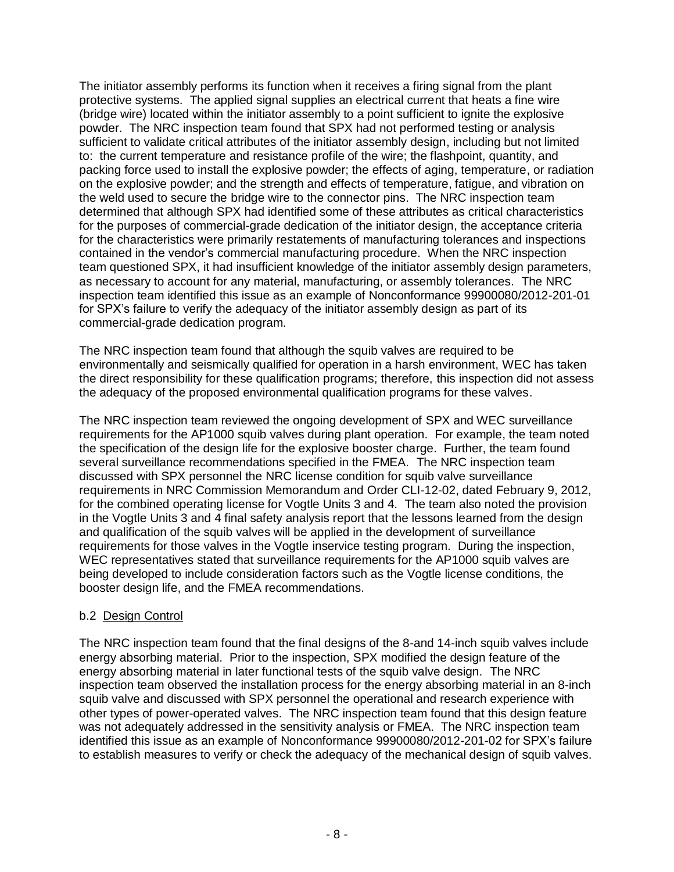The initiator assembly performs its function when it receives a firing signal from the plant protective systems. The applied signal supplies an electrical current that heats a fine wire (bridge wire) located within the initiator assembly to a point sufficient to ignite the explosive powder. The NRC inspection team found that SPX had not performed testing or analysis sufficient to validate critical attributes of the initiator assembly design, including but not limited to: the current temperature and resistance profile of the wire; the flashpoint, quantity, and packing force used to install the explosive powder; the effects of aging, temperature, or radiation on the explosive powder; and the strength and effects of temperature, fatigue, and vibration on the weld used to secure the bridge wire to the connector pins. The NRC inspection team determined that although SPX had identified some of these attributes as critical characteristics for the purposes of commercial-grade dedication of the initiator design, the acceptance criteria for the characteristics were primarily restatements of manufacturing tolerances and inspections contained in the vendor's commercial manufacturing procedure. When the NRC inspection team questioned SPX, it had insufficient knowledge of the initiator assembly design parameters, as necessary to account for any material, manufacturing, or assembly tolerances. The NRC inspection team identified this issue as an example of Nonconformance 99900080/2012-201-01 for SPX's failure to verify the adequacy of the initiator assembly design as part of its commercial-grade dedication program.

The NRC inspection team found that although the squib valves are required to be environmentally and seismically qualified for operation in a harsh environment, WEC has taken the direct responsibility for these qualification programs; therefore, this inspection did not assess the adequacy of the proposed environmental qualification programs for these valves.

The NRC inspection team reviewed the ongoing development of SPX and WEC surveillance requirements for the AP1000 squib valves during plant operation. For example, the team noted the specification of the design life for the explosive booster charge. Further, the team found several surveillance recommendations specified in the FMEA. The NRC inspection team discussed with SPX personnel the NRC license condition for squib valve surveillance requirements in NRC Commission Memorandum and Order CLI-12-02, dated February 9, 2012, for the combined operating license for Vogtle Units 3 and 4. The team also noted the provision in the Vogtle Units 3 and 4 final safety analysis report that the lessons learned from the design and qualification of the squib valves will be applied in the development of surveillance requirements for those valves in the Vogtle inservice testing program. During the inspection, WEC representatives stated that surveillance requirements for the AP1000 squib valves are being developed to include consideration factors such as the Vogtle license conditions, the booster design life, and the FMEA recommendations.

## b.2 Design Control

The NRC inspection team found that the final designs of the 8-and 14-inch squib valves include energy absorbing material. Prior to the inspection, SPX modified the design feature of the energy absorbing material in later functional tests of the squib valve design. The NRC inspection team observed the installation process for the energy absorbing material in an 8-inch squib valve and discussed with SPX personnel the operational and research experience with other types of power-operated valves. The NRC inspection team found that this design feature was not adequately addressed in the sensitivity analysis or FMEA. The NRC inspection team identified this issue as an example of Nonconformance 99900080/2012-201-02 for SPX's failure to establish measures to verify or check the adequacy of the mechanical design of squib valves.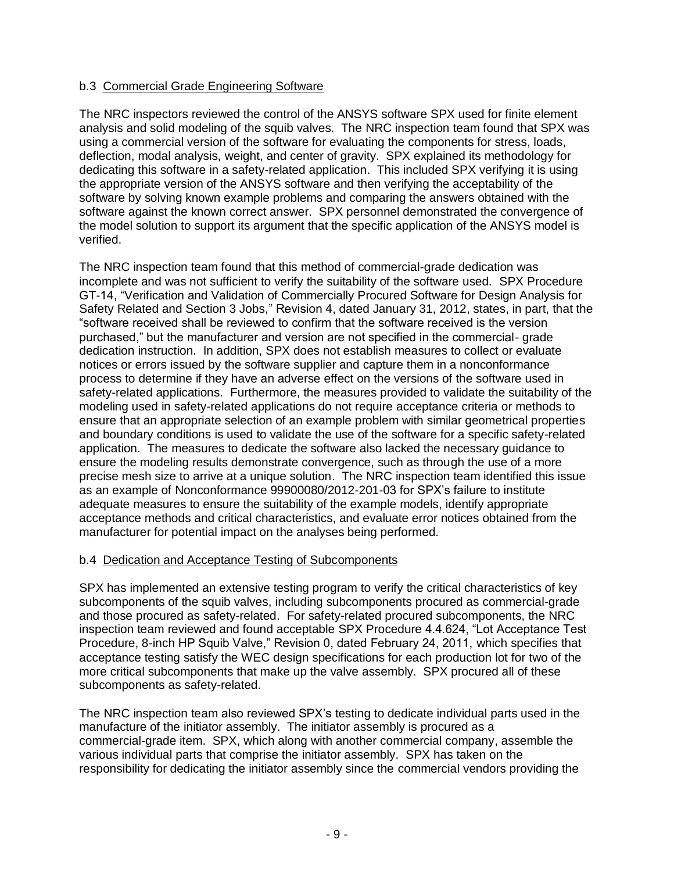### b.3 Commercial Grade Engineering Software

The NRC inspectors reviewed the control of the ANSYS software SPX used for finite element analysis and solid modeling of the squib valves. The NRC inspection team found that SPX was using a commercial version of the software for evaluating the components for stress, loads, deflection, modal analysis, weight, and center of gravity. SPX explained its methodology for dedicating this software in a safety-related application. This included SPX verifying it is using the appropriate version of the ANSYS software and then verifying the acceptability of the software by solving known example problems and comparing the answers obtained with the software against the known correct answer. SPX personnel demonstrated the convergence of the model solution to support its argument that the specific application of the ANSYS model is verified.

The NRC inspection team found that this method of commercial-grade dedication was incomplete and was not sufficient to verify the suitability of the software used. SPX Procedure GT-14, "Verification and Validation of Commercially Procured Software for Design Analysis for Safety Related and Section 3 Jobs," Revision 4, dated January 31, 2012, states, in part, that the "software received shall be reviewed to confirm that the software received is the version purchased," but the manufacturer and version are not specified in the commercial- grade dedication instruction. In addition, SPX does not establish measures to collect or evaluate notices or errors issued by the software supplier and capture them in a nonconformance process to determine if they have an adverse effect on the versions of the software used in safety-related applications. Furthermore, the measures provided to validate the suitability of the modeling used in safety-related applications do not require acceptance criteria or methods to ensure that an appropriate selection of an example problem with similar geometrical properties and boundary conditions is used to validate the use of the software for a specific safety-related application. The measures to dedicate the software also lacked the necessary guidance to ensure the modeling results demonstrate convergence, such as through the use of a more precise mesh size to arrive at a unique solution. The NRC inspection team identified this issue as an example of Nonconformance 99900080/2012-201-03 for SPX's failure to institute adequate measures to ensure the suitability of the example models, identify appropriate acceptance methods and critical characteristics, and evaluate error notices obtained from the manufacturer for potential impact on the analyses being performed.

## b.4 Dedication and Acceptance Testing of Subcomponents

SPX has implemented an extensive testing program to verify the critical characteristics of key subcomponents of the squib valves, including subcomponents procured as commercial-grade and those procured as safety-related. For safety-related procured subcomponents, the NRC inspection team reviewed and found acceptable SPX Procedure 4.4.624, "Lot Acceptance Test Procedure, 8-inch HP Squib Valve," Revision 0, dated February 24, 2011, which specifies that acceptance testing satisfy the WEC design specifications for each production lot for two of the more critical subcomponents that make up the valve assembly. SPX procured all of these subcomponents as safety-related.

The NRC inspection team also reviewed SPX's testing to dedicate individual parts used in the manufacture of the initiator assembly. The initiator assembly is procured as a commercial-grade item. SPX, which along with another commercial company, assemble the various individual parts that comprise the initiator assembly. SPX has taken on the responsibility for dedicating the initiator assembly since the commercial vendors providing the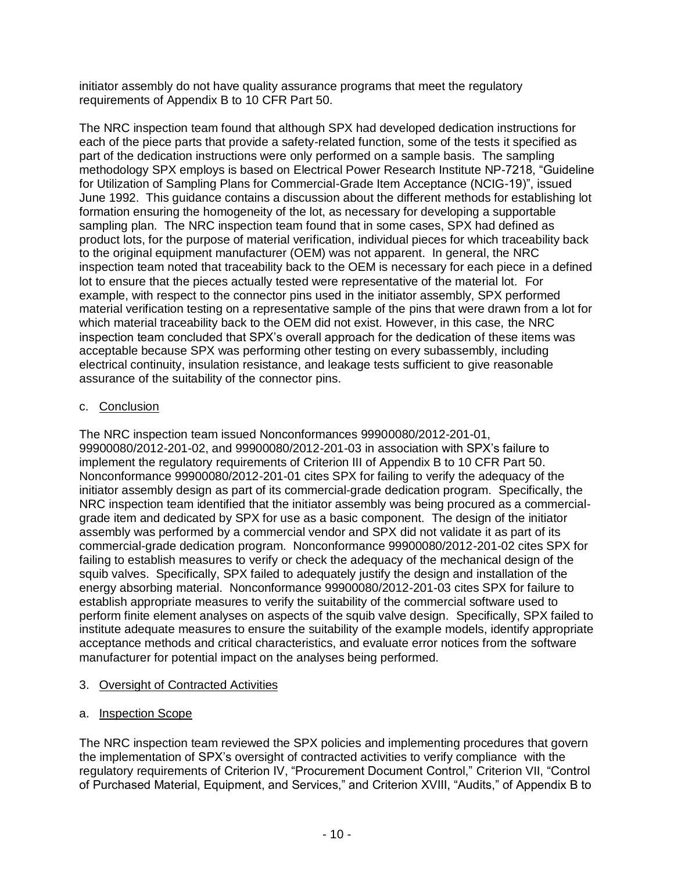initiator assembly do not have quality assurance programs that meet the regulatory requirements of Appendix B to 10 CFR Part 50.

The NRC inspection team found that although SPX had developed dedication instructions for each of the piece parts that provide a safety-related function, some of the tests it specified as part of the dedication instructions were only performed on a sample basis. The sampling methodology SPX employs is based on Electrical Power Research Institute NP-7218, "Guideline for Utilization of Sampling Plans for Commercial-Grade Item Acceptance (NCIG-19)", issued June 1992. This guidance contains a discussion about the different methods for establishing lot formation ensuring the homogeneity of the lot, as necessary for developing a supportable sampling plan. The NRC inspection team found that in some cases, SPX had defined as product lots, for the purpose of material verification, individual pieces for which traceability back to the original equipment manufacturer (OEM) was not apparent. In general, the NRC inspection team noted that traceability back to the OEM is necessary for each piece in a defined lot to ensure that the pieces actually tested were representative of the material lot. For example, with respect to the connector pins used in the initiator assembly, SPX performed material verification testing on a representative sample of the pins that were drawn from a lot for which material traceability back to the OEM did not exist. However, in this case, the NRC inspection team concluded that SPX's overall approach for the dedication of these items was acceptable because SPX was performing other testing on every subassembly, including electrical continuity, insulation resistance, and leakage tests sufficient to give reasonable assurance of the suitability of the connector pins.

## c. Conclusion

The NRC inspection team issued Nonconformances 99900080/2012-201-01, 99900080/2012-201-02, and 99900080/2012-201-03 in association with SPX's failure to implement the regulatory requirements of Criterion III of Appendix B to 10 CFR Part 50. Nonconformance 99900080/2012-201-01 cites SPX for failing to verify the adequacy of the initiator assembly design as part of its commercial-grade dedication program. Specifically, the NRC inspection team identified that the initiator assembly was being procured as a commercialgrade item and dedicated by SPX for use as a basic component. The design of the initiator assembly was performed by a commercial vendor and SPX did not validate it as part of its commercial-grade dedication program. Nonconformance 99900080/2012-201-02 cites SPX for failing to establish measures to verify or check the adequacy of the mechanical design of the squib valves. Specifically, SPX failed to adequately justify the design and installation of the energy absorbing material. Nonconformance 99900080/2012-201-03 cites SPX for failure to establish appropriate measures to verify the suitability of the commercial software used to perform finite element analyses on aspects of the squib valve design. Specifically, SPX failed to institute adequate measures to ensure the suitability of the example models, identify appropriate acceptance methods and critical characteristics, and evaluate error notices from the software manufacturer for potential impact on the analyses being performed.

## 3. Oversight of Contracted Activities

## a. Inspection Scope

The NRC inspection team reviewed the SPX policies and implementing procedures that govern the implementation of SPX's oversight of contracted activities to verify compliance with the regulatory requirements of Criterion IV, "Procurement Document Control," Criterion VII, "Control of Purchased Material, Equipment, and Services," and Criterion XVIII, "Audits," of Appendix B to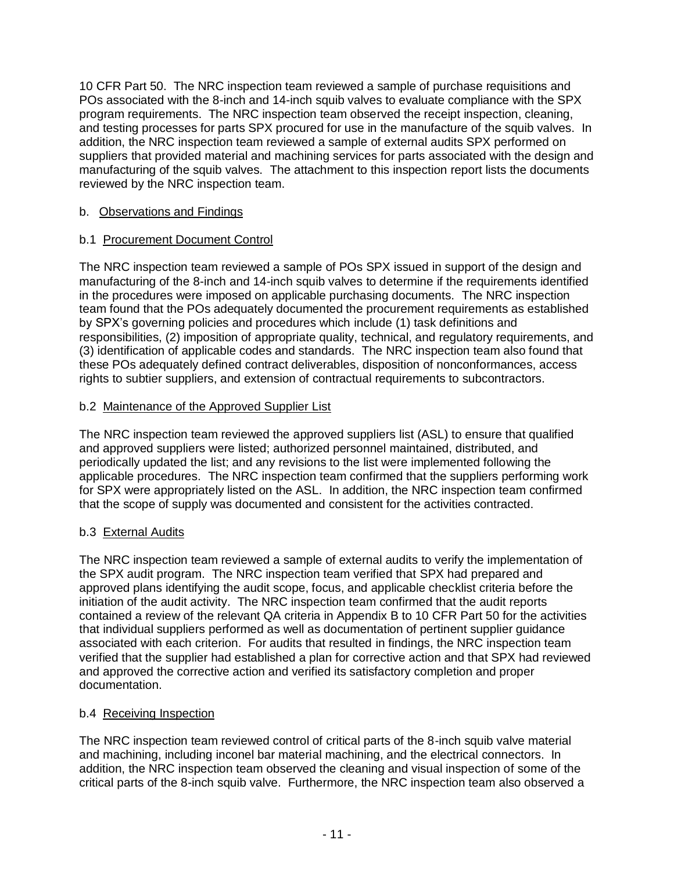10 CFR Part 50. The NRC inspection team reviewed a sample of purchase requisitions and POs associated with the 8-inch and 14-inch squib valves to evaluate compliance with the SPX program requirements. The NRC inspection team observed the receipt inspection, cleaning, and testing processes for parts SPX procured for use in the manufacture of the squib valves. In addition, the NRC inspection team reviewed a sample of external audits SPX performed on suppliers that provided material and machining services for parts associated with the design and manufacturing of the squib valves. The attachment to this inspection report lists the documents reviewed by the NRC inspection team.

### b. Observations and Findings

## b.1 Procurement Document Control

The NRC inspection team reviewed a sample of POs SPX issued in support of the design and manufacturing of the 8-inch and 14-inch squib valves to determine if the requirements identified in the procedures were imposed on applicable purchasing documents. The NRC inspection team found that the POs adequately documented the procurement requirements as established by SPX's governing policies and procedures which include (1) task definitions and responsibilities, (2) imposition of appropriate quality, technical, and regulatory requirements, and (3) identification of applicable codes and standards. The NRC inspection team also found that these POs adequately defined contract deliverables, disposition of nonconformances, access rights to subtier suppliers, and extension of contractual requirements to subcontractors.

## b.2 Maintenance of the Approved Supplier List

The NRC inspection team reviewed the approved suppliers list (ASL) to ensure that qualified and approved suppliers were listed; authorized personnel maintained, distributed, and periodically updated the list; and any revisions to the list were implemented following the applicable procedures. The NRC inspection team confirmed that the suppliers performing work for SPX were appropriately listed on the ASL. In addition, the NRC inspection team confirmed that the scope of supply was documented and consistent for the activities contracted.

## b.3 External Audits

The NRC inspection team reviewed a sample of external audits to verify the implementation of the SPX audit program. The NRC inspection team verified that SPX had prepared and approved plans identifying the audit scope, focus, and applicable checklist criteria before the initiation of the audit activity. The NRC inspection team confirmed that the audit reports contained a review of the relevant QA criteria in Appendix B to 10 CFR Part 50 for the activities that individual suppliers performed as well as documentation of pertinent supplier guidance associated with each criterion. For audits that resulted in findings, the NRC inspection team verified that the supplier had established a plan for corrective action and that SPX had reviewed and approved the corrective action and verified its satisfactory completion and proper documentation.

## b.4 Receiving Inspection

The NRC inspection team reviewed control of critical parts of the 8-inch squib valve material and machining, including inconel bar material machining, and the electrical connectors. In addition, the NRC inspection team observed the cleaning and visual inspection of some of the critical parts of the 8-inch squib valve. Furthermore, the NRC inspection team also observed a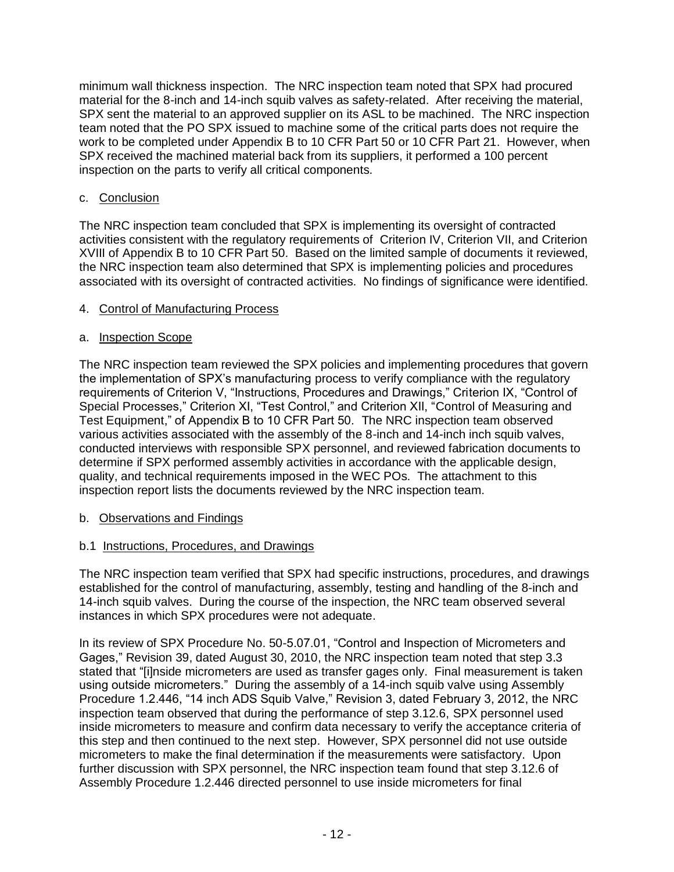minimum wall thickness inspection. The NRC inspection team noted that SPX had procured material for the 8-inch and 14-inch squib valves as safety-related. After receiving the material, SPX sent the material to an approved supplier on its ASL to be machined. The NRC inspection team noted that the PO SPX issued to machine some of the critical parts does not require the work to be completed under Appendix B to 10 CFR Part 50 or 10 CFR Part 21. However, when SPX received the machined material back from its suppliers, it performed a 100 percent inspection on the parts to verify all critical components.

### c. Conclusion

The NRC inspection team concluded that SPX is implementing its oversight of contracted activities consistent with the regulatory requirements of Criterion IV, Criterion VII, and Criterion XVIII of Appendix B to 10 CFR Part 50. Based on the limited sample of documents it reviewed, the NRC inspection team also determined that SPX is implementing policies and procedures associated with its oversight of contracted activities. No findings of significance were identified.

### 4. Control of Manufacturing Process

### a. Inspection Scope

The NRC inspection team reviewed the SPX policies and implementing procedures that govern the implementation of SPX's manufacturing process to verify compliance with the regulatory requirements of Criterion V, "Instructions, Procedures and Drawings," Criterion IX, "Control of Special Processes," Criterion XI, "Test Control," and Criterion XII, "Control of Measuring and Test Equipment," of Appendix B to 10 CFR Part 50. The NRC inspection team observed various activities associated with the assembly of the 8-inch and 14-inch inch squib valves, conducted interviews with responsible SPX personnel, and reviewed fabrication documents to determine if SPX performed assembly activities in accordance with the applicable design, quality, and technical requirements imposed in the WEC POs. The attachment to this inspection report lists the documents reviewed by the NRC inspection team.

## b. Observations and Findings

## b.1 Instructions, Procedures, and Drawings

The NRC inspection team verified that SPX had specific instructions, procedures, and drawings established for the control of manufacturing, assembly, testing and handling of the 8-inch and 14-inch squib valves. During the course of the inspection, the NRC team observed several instances in which SPX procedures were not adequate.

In its review of SPX Procedure No. 50-5.07.01, "Control and Inspection of Micrometers and Gages," Revision 39, dated August 30, 2010, the NRC inspection team noted that step 3.3 stated that "[i]nside micrometers are used as transfer gages only. Final measurement is taken using outside micrometers." During the assembly of a 14-inch squib valve using Assembly Procedure 1.2.446, "14 inch ADS Squib Valve," Revision 3, dated February 3, 2012, the NRC inspection team observed that during the performance of step 3.12.6, SPX personnel used inside micrometers to measure and confirm data necessary to verify the acceptance criteria of this step and then continued to the next step. However, SPX personnel did not use outside micrometers to make the final determination if the measurements were satisfactory. Upon further discussion with SPX personnel, the NRC inspection team found that step 3.12.6 of Assembly Procedure 1.2.446 directed personnel to use inside micrometers for final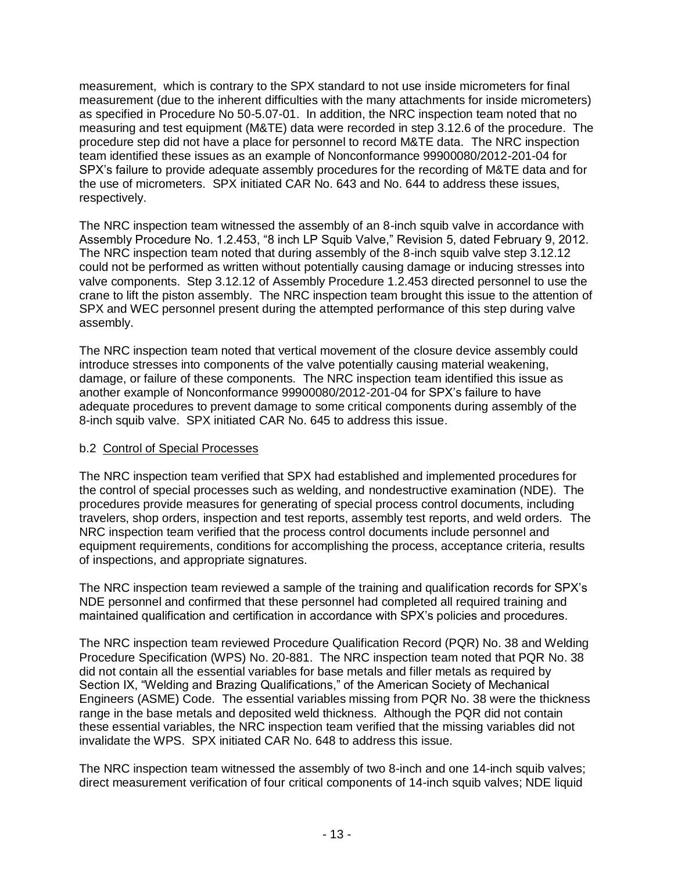measurement, which is contrary to the SPX standard to not use inside micrometers for final measurement (due to the inherent difficulties with the many attachments for inside micrometers) as specified in Procedure No 50-5.07-01. In addition, the NRC inspection team noted that no measuring and test equipment (M&TE) data were recorded in step 3.12.6 of the procedure. The procedure step did not have a place for personnel to record M&TE data. The NRC inspection team identified these issues as an example of Nonconformance 99900080/2012-201-04 for SPX's failure to provide adequate assembly procedures for the recording of M&TE data and for the use of micrometers. SPX initiated CAR No. 643 and No. 644 to address these issues, respectively.

The NRC inspection team witnessed the assembly of an 8-inch squib valve in accordance with Assembly Procedure No. 1.2.453, "8 inch LP Squib Valve," Revision 5, dated February 9, 2012. The NRC inspection team noted that during assembly of the 8-inch squib valve step 3.12.12 could not be performed as written without potentially causing damage or inducing stresses into valve components. Step 3.12.12 of Assembly Procedure 1.2.453 directed personnel to use the crane to lift the piston assembly. The NRC inspection team brought this issue to the attention of SPX and WEC personnel present during the attempted performance of this step during valve assembly.

The NRC inspection team noted that vertical movement of the closure device assembly could introduce stresses into components of the valve potentially causing material weakening, damage, or failure of these components. The NRC inspection team identified this issue as another example of Nonconformance 99900080/2012-201-04 for SPX's failure to have adequate procedures to prevent damage to some critical components during assembly of the 8-inch squib valve. SPX initiated CAR No. 645 to address this issue.

## b.2 Control of Special Processes

The NRC inspection team verified that SPX had established and implemented procedures for the control of special processes such as welding, and nondestructive examination (NDE). The procedures provide measures for generating of special process control documents, including travelers, shop orders, inspection and test reports, assembly test reports, and weld orders. The NRC inspection team verified that the process control documents include personnel and equipment requirements, conditions for accomplishing the process, acceptance criteria, results of inspections, and appropriate signatures.

The NRC inspection team reviewed a sample of the training and qualification records for SPX's NDE personnel and confirmed that these personnel had completed all required training and maintained qualification and certification in accordance with SPX's policies and procedures.

The NRC inspection team reviewed Procedure Qualification Record (PQR) No. 38 and Welding Procedure Specification (WPS) No. 20-881. The NRC inspection team noted that PQR No. 38 did not contain all the essential variables for base metals and filler metals as required by Section IX, "Welding and Brazing Qualifications," of the American Society of Mechanical Engineers (ASME) Code. The essential variables missing from PQR No. 38 were the thickness range in the base metals and deposited weld thickness. Although the PQR did not contain these essential variables, the NRC inspection team verified that the missing variables did not invalidate the WPS. SPX initiated CAR No. 648 to address this issue.

The NRC inspection team witnessed the assembly of two 8-inch and one 14-inch squib valves; direct measurement verification of four critical components of 14-inch squib valves; NDE liquid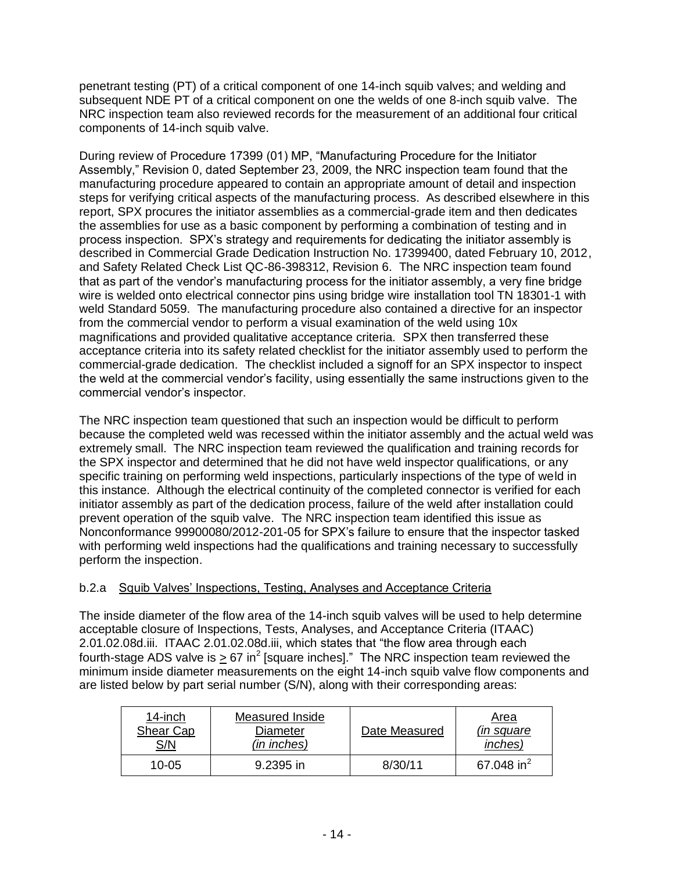penetrant testing (PT) of a critical component of one 14-inch squib valves; and welding and subsequent NDE PT of a critical component on one the welds of one 8-inch squib valve. The NRC inspection team also reviewed records for the measurement of an additional four critical components of 14-inch squib valve.

During review of Procedure 17399 (01) MP, "Manufacturing Procedure for the Initiator Assembly," Revision 0, dated September 23, 2009, the NRC inspection team found that the manufacturing procedure appeared to contain an appropriate amount of detail and inspection steps for verifying critical aspects of the manufacturing process. As described elsewhere in this report, SPX procures the initiator assemblies as a commercial-grade item and then dedicates the assemblies for use as a basic component by performing a combination of testing and in process inspection. SPX's strategy and requirements for dedicating the initiator assembly is described in Commercial Grade Dedication Instruction No. 17399400, dated February 10, 2012, and Safety Related Check List QC-86-398312, Revision 6. The NRC inspection team found that as part of the vendor's manufacturing process for the initiator assembly, a very fine bridge wire is welded onto electrical connector pins using bridge wire installation tool TN 18301-1 with weld Standard 5059. The manufacturing procedure also contained a directive for an inspector from the commercial vendor to perform a visual examination of the weld using 10x magnifications and provided qualitative acceptance criteria. SPX then transferred these acceptance criteria into its safety related checklist for the initiator assembly used to perform the commercial-grade dedication. The checklist included a signoff for an SPX inspector to inspect the weld at the commercial vendor's facility, using essentially the same instructions given to the commercial vendor's inspector.

The NRC inspection team questioned that such an inspection would be difficult to perform because the completed weld was recessed within the initiator assembly and the actual weld was extremely small. The NRC inspection team reviewed the qualification and training records for the SPX inspector and determined that he did not have weld inspector qualifications, or any specific training on performing weld inspections, particularly inspections of the type of weld in this instance. Although the electrical continuity of the completed connector is verified for each initiator assembly as part of the dedication process, failure of the weld after installation could prevent operation of the squib valve. The NRC inspection team identified this issue as Nonconformance 99900080/2012-201-05 for SPX's failure to ensure that the inspector tasked with performing weld inspections had the qualifications and training necessary to successfully perform the inspection.

## b.2.a Squib Valves' Inspections, Testing, Analyses and Acceptance Criteria

The inside diameter of the flow area of the 14-inch squib valves will be used to help determine acceptable closure of Inspections, Tests, Analyses, and Acceptance Criteria (ITAAC) 2.01.02.08d.iii. ITAAC 2.01.02.08d.iii, which states that "the flow area through each fourth-stage ADS valve is  $\geq 67$  in<sup>2</sup> [square inches]." The NRC inspection team reviewed the minimum inside diameter measurements on the eight 14-inch squib valve flow components and are listed below by part serial number (S/N), along with their corresponding areas:

| 14-inch   | Measured Inside | Date Measured | <u>Area</u>            |
|-----------|-----------------|---------------|------------------------|
| Shear Cap | Diameter        |               | <i>(in square)</i>     |
| S/N       | (in inches)     |               | inches)                |
| 10-05     | 9.2395 in       | 8/30/11       | 67.048 in <sup>2</sup> |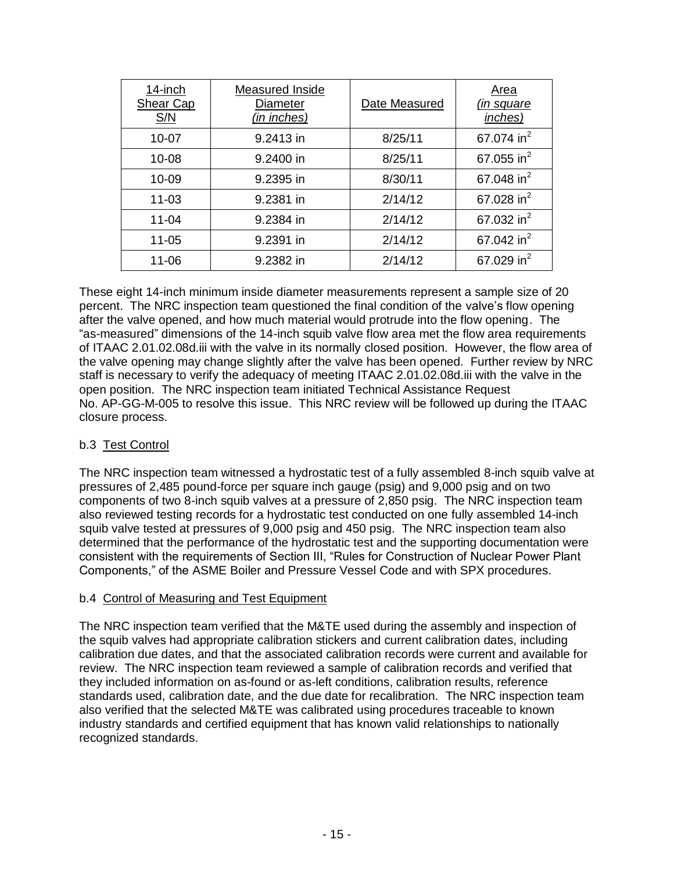| 14-inch<br><b>Shear Cap</b><br>S/N | Measured Inside<br><b>Diameter</b><br>(in inches) | Date Measured | Area<br><i>(in square)</i><br>inches) |
|------------------------------------|---------------------------------------------------|---------------|---------------------------------------|
| $10 - 07$                          | 9.2413 in                                         | 8/25/11       | 67.074 in <sup>2</sup>                |
| $10 - 08$                          | 9.2400 in                                         | 8/25/11       | 67.055 in $^{2}$                      |
| 10-09                              | 9.2395 in                                         | 8/30/11       | 67.048 in <sup>2</sup>                |
| $11 - 03$                          | 9.2381 in                                         | 2/14/12       | 67.028 in <sup>2</sup>                |
| $11 - 04$                          | 9.2384 in                                         | 2/14/12       | 67.032 in <sup>2</sup>                |
| $11 - 05$                          | 9.2391 in                                         | 2/14/12       | 67.042 in <sup>2</sup>                |
| 11-06                              | 9.2382 in                                         | 2/14/12       | 67.029 in <sup>2</sup>                |

These eight 14-inch minimum inside diameter measurements represent a sample size of 20 percent. The NRC inspection team questioned the final condition of the valve's flow opening after the valve opened, and how much material would protrude into the flow opening. The "as-measured" dimensions of the 14-inch squib valve flow area met the flow area requirements of ITAAC 2.01.02.08d.iii with the valve in its normally closed position. However, the flow area of the valve opening may change slightly after the valve has been opened. Further review by NRC staff is necessary to verify the adequacy of meeting ITAAC 2.01.02.08d.iii with the valve in the open position. The NRC inspection team initiated Technical Assistance Request No. AP-GG-M-005 to resolve this issue. This NRC review will be followed up during the ITAAC closure process.

## b.3 Test Control

The NRC inspection team witnessed a hydrostatic test of a fully assembled 8-inch squib valve at pressures of 2,485 pound-force per square inch gauge (psig) and 9,000 psig and on two components of two 8-inch squib valves at a pressure of 2,850 psig. The NRC inspection team also reviewed testing records for a hydrostatic test conducted on one fully assembled 14-inch squib valve tested at pressures of 9,000 psig and 450 psig. The NRC inspection team also determined that the performance of the hydrostatic test and the supporting documentation were consistent with the requirements of Section III, "Rules for Construction of Nuclear Power Plant Components," of the ASME Boiler and Pressure Vessel Code and with SPX procedures.

## b.4 Control of Measuring and Test Equipment

The NRC inspection team verified that the M&TE used during the assembly and inspection of the squib valves had appropriate calibration stickers and current calibration dates, including calibration due dates, and that the associated calibration records were current and available for review. The NRC inspection team reviewed a sample of calibration records and verified that they included information on as-found or as-left conditions, calibration results, reference standards used, calibration date, and the due date for recalibration. The NRC inspection team also verified that the selected M&TE was calibrated using procedures traceable to known industry standards and certified equipment that has known valid relationships to nationally recognized standards.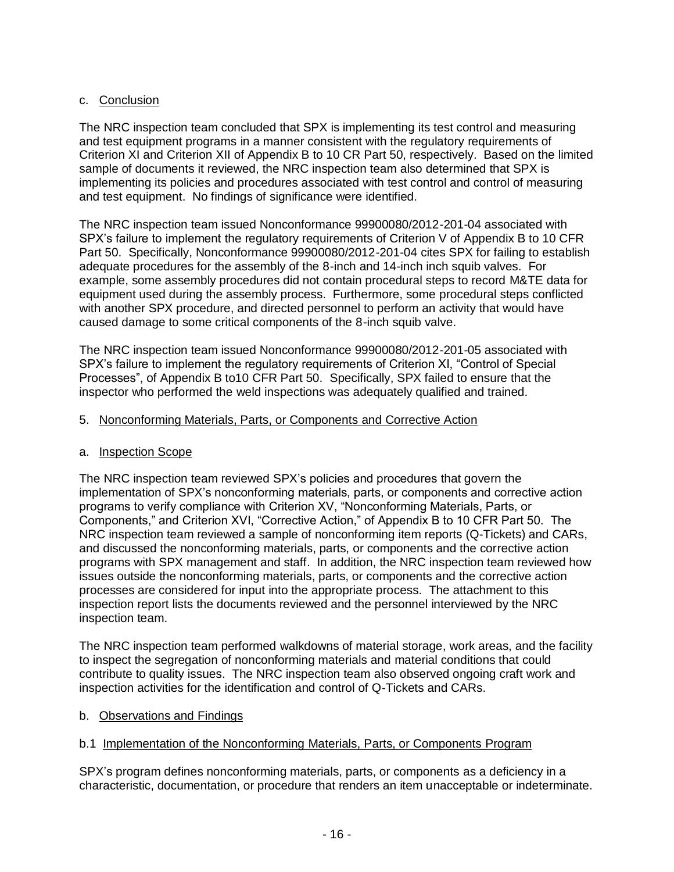### c. Conclusion

The NRC inspection team concluded that SPX is implementing its test control and measuring and test equipment programs in a manner consistent with the regulatory requirements of Criterion XI and Criterion XII of Appendix B to 10 CR Part 50, respectively. Based on the limited sample of documents it reviewed, the NRC inspection team also determined that SPX is implementing its policies and procedures associated with test control and control of measuring and test equipment. No findings of significance were identified.

The NRC inspection team issued Nonconformance 99900080/2012-201-04 associated with SPX's failure to implement the regulatory requirements of Criterion V of Appendix B to 10 CFR Part 50. Specifically, Nonconformance 99900080/2012-201-04 cites SPX for failing to establish adequate procedures for the assembly of the 8-inch and 14-inch inch squib valves. For example, some assembly procedures did not contain procedural steps to record M&TE data for equipment used during the assembly process. Furthermore, some procedural steps conflicted with another SPX procedure, and directed personnel to perform an activity that would have caused damage to some critical components of the 8-inch squib valve.

The NRC inspection team issued Nonconformance 99900080/2012-201-05 associated with SPX's failure to implement the regulatory requirements of Criterion XI, "Control of Special Processes", of Appendix B to10 CFR Part 50. Specifically, SPX failed to ensure that the inspector who performed the weld inspections was adequately qualified and trained.

#### 5. Nonconforming Materials, Parts, or Components and Corrective Action

#### a. Inspection Scope

The NRC inspection team reviewed SPX's policies and procedures that govern the implementation of SPX's nonconforming materials, parts, or components and corrective action programs to verify compliance with Criterion XV, "Nonconforming Materials, Parts, or Components," and Criterion XVI, "Corrective Action," of Appendix B to 10 CFR Part 50. The NRC inspection team reviewed a sample of nonconforming item reports (Q-Tickets) and CARs, and discussed the nonconforming materials, parts, or components and the corrective action programs with SPX management and staff. In addition, the NRC inspection team reviewed how issues outside the nonconforming materials, parts, or components and the corrective action processes are considered for input into the appropriate process. The attachment to this inspection report lists the documents reviewed and the personnel interviewed by the NRC inspection team.

The NRC inspection team performed walkdowns of material storage, work areas, and the facility to inspect the segregation of nonconforming materials and material conditions that could contribute to quality issues. The NRC inspection team also observed ongoing craft work and inspection activities for the identification and control of Q-Tickets and CARs.

#### b. Observations and Findings

#### b.1 Implementation of the Nonconforming Materials, Parts, or Components Program

SPX's program defines nonconforming materials, parts, or components as a deficiency in a characteristic, documentation, or procedure that renders an item unacceptable or indeterminate.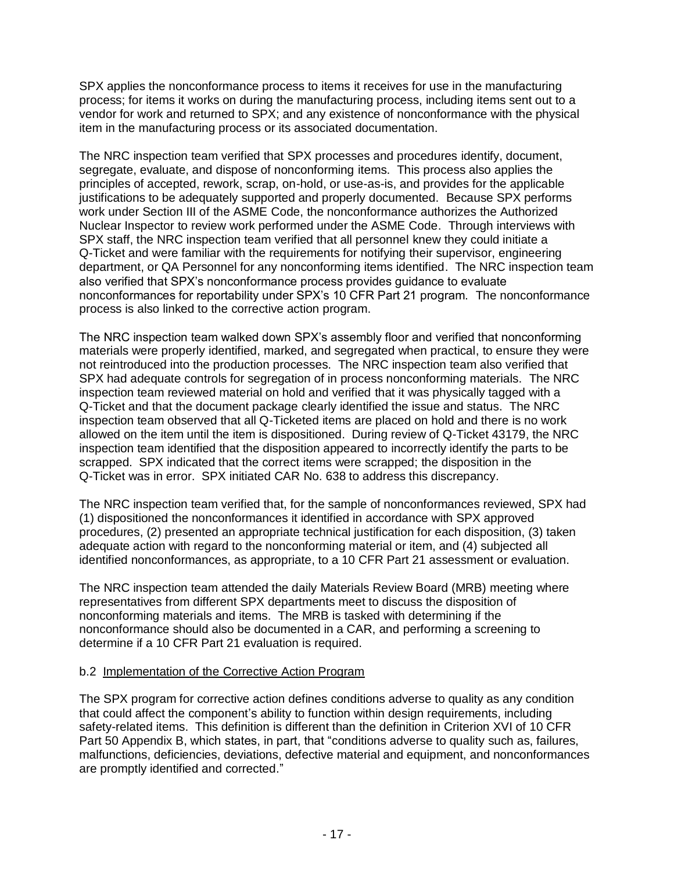SPX applies the nonconformance process to items it receives for use in the manufacturing process; for items it works on during the manufacturing process, including items sent out to a vendor for work and returned to SPX; and any existence of nonconformance with the physical item in the manufacturing process or its associated documentation.

The NRC inspection team verified that SPX processes and procedures identify, document, segregate, evaluate, and dispose of nonconforming items. This process also applies the principles of accepted, rework, scrap, on-hold, or use-as-is, and provides for the applicable justifications to be adequately supported and properly documented. Because SPX performs work under Section III of the ASME Code, the nonconformance authorizes the Authorized Nuclear Inspector to review work performed under the ASME Code. Through interviews with SPX staff, the NRC inspection team verified that all personnel knew they could initiate a Q-Ticket and were familiar with the requirements for notifying their supervisor, engineering department, or QA Personnel for any nonconforming items identified. The NRC inspection team also verified that SPX's nonconformance process provides guidance to evaluate nonconformances for reportability under SPX's 10 CFR Part 21 program. The nonconformance process is also linked to the corrective action program.

The NRC inspection team walked down SPX's assembly floor and verified that nonconforming materials were properly identified, marked, and segregated when practical, to ensure they were not reintroduced into the production processes. The NRC inspection team also verified that SPX had adequate controls for segregation of in process nonconforming materials. The NRC inspection team reviewed material on hold and verified that it was physically tagged with a Q-Ticket and that the document package clearly identified the issue and status. The NRC inspection team observed that all Q-Ticketed items are placed on hold and there is no work allowed on the item until the item is dispositioned. During review of Q-Ticket 43179, the NRC inspection team identified that the disposition appeared to incorrectly identify the parts to be scrapped. SPX indicated that the correct items were scrapped; the disposition in the Q-Ticket was in error. SPX initiated CAR No. 638 to address this discrepancy.

The NRC inspection team verified that, for the sample of nonconformances reviewed, SPX had (1) dispositioned the nonconformances it identified in accordance with SPX approved procedures, (2) presented an appropriate technical justification for each disposition, (3) taken adequate action with regard to the nonconforming material or item, and (4) subjected all identified nonconformances, as appropriate, to a 10 CFR Part 21 assessment or evaluation.

The NRC inspection team attended the daily Materials Review Board (MRB) meeting where representatives from different SPX departments meet to discuss the disposition of nonconforming materials and items. The MRB is tasked with determining if the nonconformance should also be documented in a CAR, and performing a screening to determine if a 10 CFR Part 21 evaluation is required.

#### b.2 Implementation of the Corrective Action Program

The SPX program for corrective action defines conditions adverse to quality as any condition that could affect the component's ability to function within design requirements, including safety-related items. This definition is different than the definition in Criterion XVI of 10 CFR Part 50 Appendix B, which states, in part, that "conditions adverse to quality such as, failures, malfunctions, deficiencies, deviations, defective material and equipment, and nonconformances are promptly identified and corrected."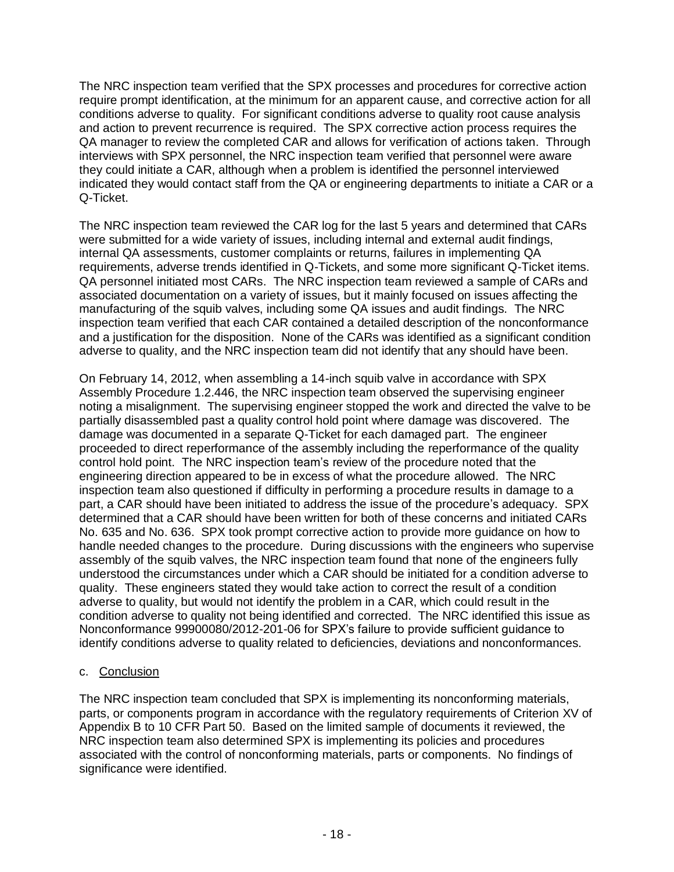The NRC inspection team verified that the SPX processes and procedures for corrective action require prompt identification, at the minimum for an apparent cause, and corrective action for all conditions adverse to quality. For significant conditions adverse to quality root cause analysis and action to prevent recurrence is required. The SPX corrective action process requires the QA manager to review the completed CAR and allows for verification of actions taken. Through interviews with SPX personnel, the NRC inspection team verified that personnel were aware they could initiate a CAR, although when a problem is identified the personnel interviewed indicated they would contact staff from the QA or engineering departments to initiate a CAR or a Q-Ticket.

The NRC inspection team reviewed the CAR log for the last 5 years and determined that CARs were submitted for a wide variety of issues, including internal and external audit findings, internal QA assessments, customer complaints or returns, failures in implementing QA requirements, adverse trends identified in Q-Tickets, and some more significant Q-Ticket items. QA personnel initiated most CARs. The NRC inspection team reviewed a sample of CARs and associated documentation on a variety of issues, but it mainly focused on issues affecting the manufacturing of the squib valves, including some QA issues and audit findings. The NRC inspection team verified that each CAR contained a detailed description of the nonconformance and a justification for the disposition. None of the CARs was identified as a significant condition adverse to quality, and the NRC inspection team did not identify that any should have been.

On February 14, 2012, when assembling a 14-inch squib valve in accordance with SPX Assembly Procedure 1.2.446, the NRC inspection team observed the supervising engineer noting a misalignment. The supervising engineer stopped the work and directed the valve to be partially disassembled past a quality control hold point where damage was discovered. The damage was documented in a separate Q-Ticket for each damaged part. The engineer proceeded to direct reperformance of the assembly including the reperformance of the quality control hold point. The NRC inspection team's review of the procedure noted that the engineering direction appeared to be in excess of what the procedure allowed. The NRC inspection team also questioned if difficulty in performing a procedure results in damage to a part, a CAR should have been initiated to address the issue of the procedure's adequacy. SPX determined that a CAR should have been written for both of these concerns and initiated CARs No. 635 and No. 636. SPX took prompt corrective action to provide more guidance on how to handle needed changes to the procedure. During discussions with the engineers who supervise assembly of the squib valves, the NRC inspection team found that none of the engineers fully understood the circumstances under which a CAR should be initiated for a condition adverse to quality. These engineers stated they would take action to correct the result of a condition adverse to quality, but would not identify the problem in a CAR, which could result in the condition adverse to quality not being identified and corrected. The NRC identified this issue as Nonconformance 99900080/2012-201-06 for SPX's failure to provide sufficient guidance to identify conditions adverse to quality related to deficiencies, deviations and nonconformances.

## c. Conclusion

The NRC inspection team concluded that SPX is implementing its nonconforming materials, parts, or components program in accordance with the regulatory requirements of Criterion XV of Appendix B to 10 CFR Part 50. Based on the limited sample of documents it reviewed, the NRC inspection team also determined SPX is implementing its policies and procedures associated with the control of nonconforming materials, parts or components. No findings of significance were identified.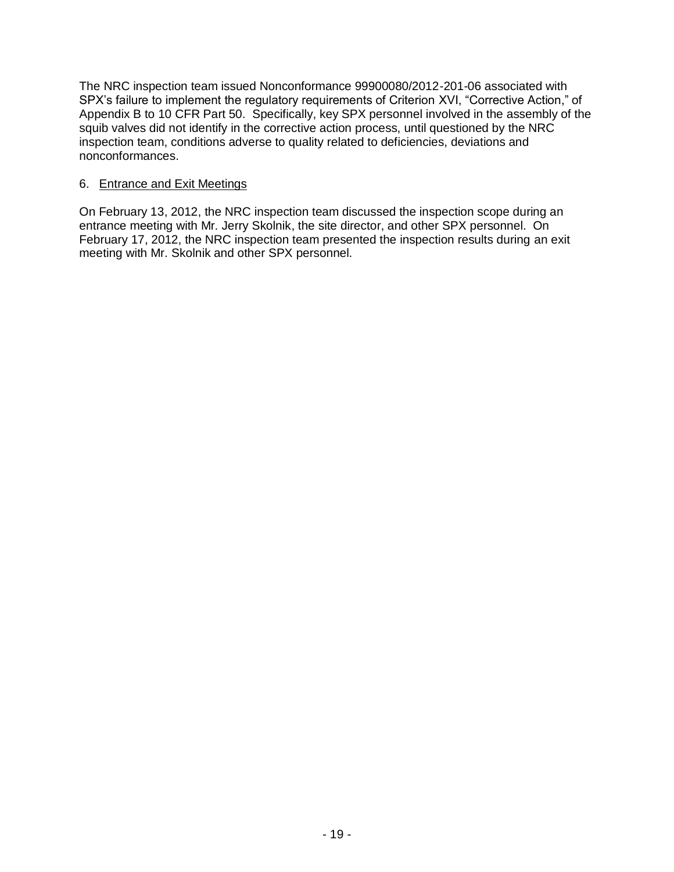The NRC inspection team issued Nonconformance 99900080/2012-201-06 associated with SPX's failure to implement the regulatory requirements of Criterion XVI, "Corrective Action," of Appendix B to 10 CFR Part 50. Specifically, key SPX personnel involved in the assembly of the squib valves did not identify in the corrective action process, until questioned by the NRC inspection team, conditions adverse to quality related to deficiencies, deviations and nonconformances.

#### 6. Entrance and Exit Meetings

On February 13, 2012, the NRC inspection team discussed the inspection scope during an entrance meeting with Mr. Jerry Skolnik, the site director, and other SPX personnel. On February 17, 2012, the NRC inspection team presented the inspection results during an exit meeting with Mr. Skolnik and other SPX personnel.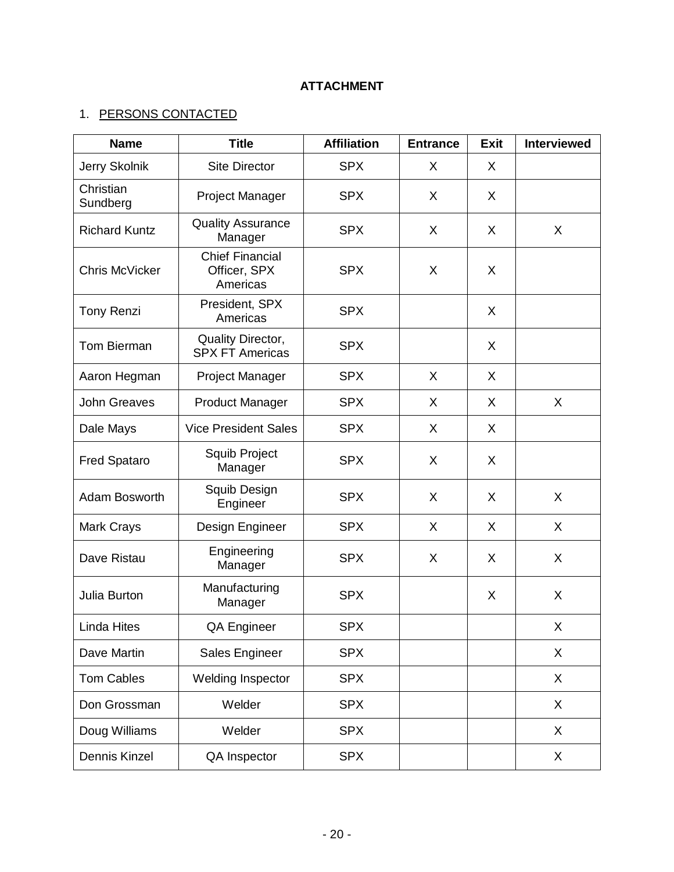# **ATTACHMENT**

# 1. PERSONS CONTACTED

| <b>Name</b>           | <b>Title</b>                                       | <b>Affiliation</b> | <b>Entrance</b> | <b>Exit</b> | <b>Interviewed</b> |
|-----------------------|----------------------------------------------------|--------------------|-----------------|-------------|--------------------|
| Jerry Skolnik         | <b>Site Director</b>                               | <b>SPX</b>         | X               | X           |                    |
| Christian<br>Sundberg | Project Manager                                    | <b>SPX</b>         | X               | X           |                    |
| <b>Richard Kuntz</b>  | <b>Quality Assurance</b><br>Manager                | <b>SPX</b>         | X               | X           | X                  |
| <b>Chris McVicker</b> | <b>Chief Financial</b><br>Officer, SPX<br>Americas | <b>SPX</b>         | X               | X           |                    |
| <b>Tony Renzi</b>     | President, SPX<br>Americas                         | <b>SPX</b>         |                 | X           |                    |
| <b>Tom Bierman</b>    | Quality Director,<br><b>SPX FT Americas</b>        | <b>SPX</b>         |                 | X           |                    |
| Aaron Hegman          | Project Manager                                    | <b>SPX</b>         | X               | X           |                    |
| <b>John Greaves</b>   | <b>Product Manager</b>                             | <b>SPX</b>         | X               | X           | X                  |
| Dale Mays             | <b>Vice President Sales</b>                        | <b>SPX</b>         | X               | X           |                    |
| <b>Fred Spataro</b>   | Squib Project<br>Manager                           | <b>SPX</b>         | X               | X           |                    |
| Adam Bosworth         | Squib Design<br>Engineer                           | <b>SPX</b>         | X               | X           | X                  |
| <b>Mark Crays</b>     | Design Engineer                                    | <b>SPX</b>         | X               | X           | $\mathsf{X}$       |
| Dave Ristau           | Engineering<br>Manager                             | <b>SPX</b>         | X               | X           | $\mathsf{X}$       |
| Julia Burton          | Manufacturing<br>Manager                           | <b>SPX</b>         |                 | X           | X                  |
| <b>Linda Hites</b>    | QA Engineer                                        | <b>SPX</b>         |                 |             | X                  |
| Dave Martin           | Sales Engineer                                     | <b>SPX</b>         |                 |             | X                  |
| <b>Tom Cables</b>     | Welding Inspector                                  | <b>SPX</b>         |                 |             | X                  |
| Don Grossman          | Welder                                             | <b>SPX</b>         |                 |             | X                  |
| Doug Williams         | Welder                                             | <b>SPX</b>         |                 |             | X                  |
| Dennis Kinzel         | QA Inspector                                       | <b>SPX</b>         |                 |             | X.                 |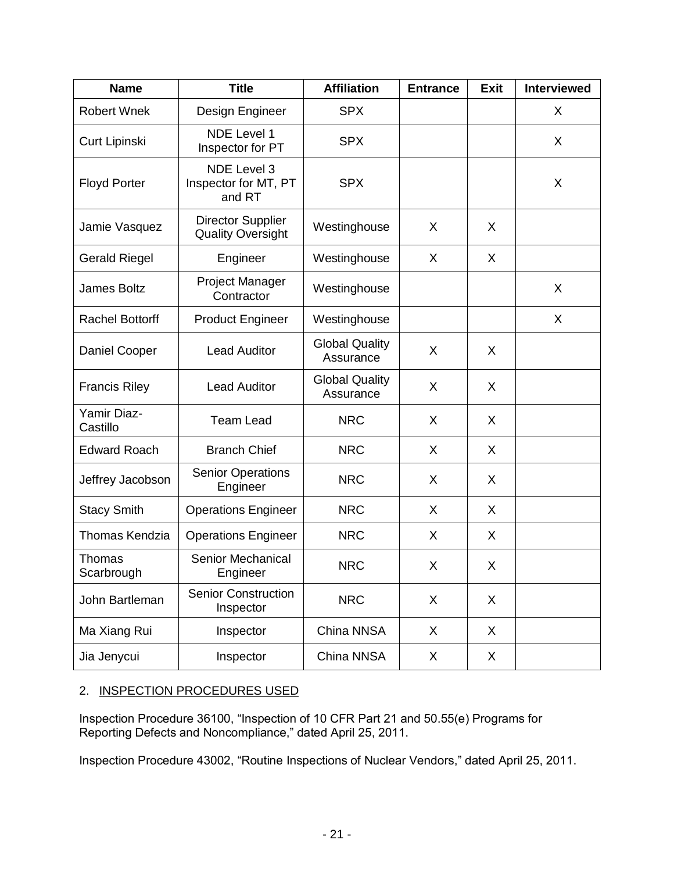| <b>Name</b>             | <b>Title</b>                                         | <b>Affiliation</b>                 | <b>Entrance</b> | <b>Exit</b> | <b>Interviewed</b> |
|-------------------------|------------------------------------------------------|------------------------------------|-----------------|-------------|--------------------|
| <b>Robert Wnek</b>      | Design Engineer                                      | <b>SPX</b>                         |                 |             | X                  |
| Curt Lipinski           | <b>NDE Level 1</b><br>Inspector for PT               | <b>SPX</b>                         |                 |             | X                  |
| <b>Floyd Porter</b>     | <b>NDE Level 3</b><br>Inspector for MT, PT<br>and RT | <b>SPX</b>                         |                 |             | X                  |
| Jamie Vasquez           | <b>Director Supplier</b><br><b>Quality Oversight</b> | Westinghouse                       | X               | X           |                    |
| <b>Gerald Riegel</b>    | Engineer                                             | Westinghouse                       | X               | X           |                    |
| <b>James Boltz</b>      | <b>Project Manager</b><br>Contractor                 | Westinghouse                       |                 |             | X                  |
| <b>Rachel Bottorff</b>  | <b>Product Engineer</b>                              | Westinghouse                       |                 |             | X                  |
| Daniel Cooper           | <b>Lead Auditor</b>                                  | <b>Global Quality</b><br>Assurance | X               | X           |                    |
| <b>Francis Riley</b>    | <b>Lead Auditor</b>                                  | <b>Global Quality</b><br>Assurance | X               | X           |                    |
| Yamir Diaz-<br>Castillo | <b>Team Lead</b>                                     | <b>NRC</b>                         | X               | X           |                    |
| <b>Edward Roach</b>     | <b>Branch Chief</b>                                  | <b>NRC</b>                         | X               | $\sf X$     |                    |
| Jeffrey Jacobson        | <b>Senior Operations</b><br>Engineer                 | <b>NRC</b>                         | X               | X           |                    |
| <b>Stacy Smith</b>      | <b>Operations Engineer</b>                           | <b>NRC</b>                         | X               | X           |                    |
| <b>Thomas Kendzia</b>   | <b>Operations Engineer</b>                           | <b>NRC</b>                         | X               | X           |                    |
| Thomas<br>Scarbrough    | Senior Mechanical<br>Engineer                        | <b>NRC</b>                         | Χ               | X           |                    |
| John Bartleman          | <b>Senior Construction</b><br>Inspector              | <b>NRC</b>                         | X               | X           |                    |
| Ma Xiang Rui            | Inspector                                            | China NNSA                         | X               | X           |                    |
| Jia Jenycui             | Inspector                                            | China NNSA                         | X               | X           |                    |

## 2. INSPECTION PROCEDURES USED

Inspection Procedure 36100, "Inspection of 10 CFR Part 21 and 50.55(e) Programs for Reporting Defects and Noncompliance," dated April 25, 2011.

Inspection Procedure 43002, "Routine Inspections of Nuclear Vendors," dated April 25, 2011.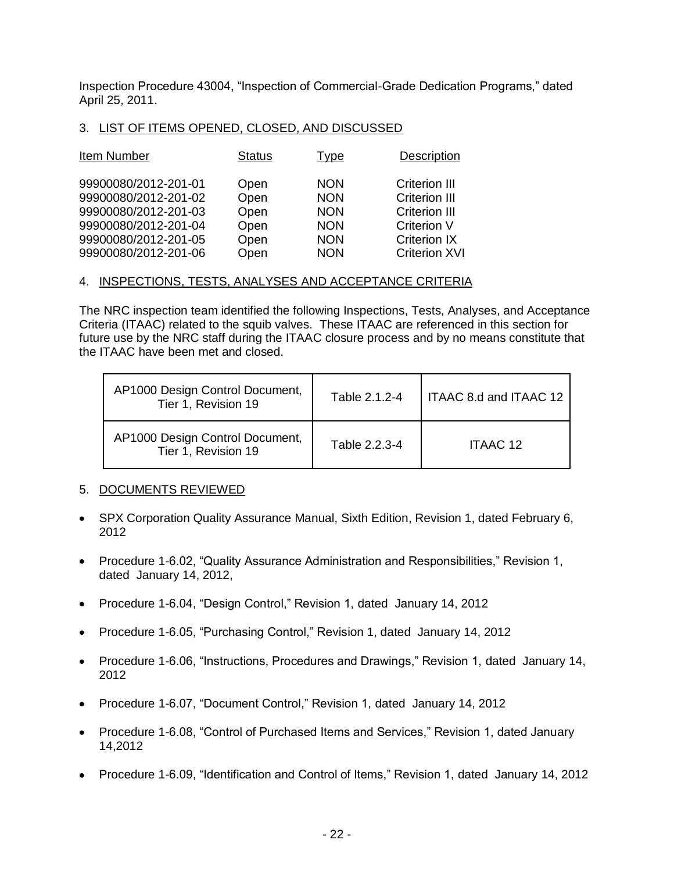Inspection Procedure 43004, "Inspection of Commercial-Grade Dedication Programs," dated April 25, 2011.

#### 3. LIST OF ITEMS OPENED, CLOSED, AND DISCUSSED

| Item Number          | <b>Status</b> | Type       | Description          |
|----------------------|---------------|------------|----------------------|
| 99900080/2012-201-01 | Open          | <b>NON</b> | <b>Criterion III</b> |
| 99900080/2012-201-02 | Open          | <b>NON</b> | <b>Criterion III</b> |
| 99900080/2012-201-03 | Open          | <b>NON</b> | <b>Criterion III</b> |
| 99900080/2012-201-04 | Open          | <b>NON</b> | <b>Criterion V</b>   |
| 99900080/2012-201-05 | Open          | <b>NON</b> | <b>Criterion IX</b>  |
| 99900080/2012-201-06 | Open          | <b>NON</b> | <b>Criterion XVI</b> |

#### 4. INSPECTIONS, TESTS, ANALYSES AND ACCEPTANCE CRITERIA

The NRC inspection team identified the following Inspections, Tests, Analyses, and Acceptance Criteria (ITAAC) related to the squib valves. These ITAAC are referenced in this section for future use by the NRC staff during the ITAAC closure process and by no means constitute that the ITAAC have been met and closed.

| AP1000 Design Control Document,<br>Tier 1, Revision 19 | Table 2.1.2-4 | I ITAAC 8.d and ITAAC 12 |
|--------------------------------------------------------|---------------|--------------------------|
| AP1000 Design Control Document,<br>Tier 1, Revision 19 | Table 2.2.3-4 | ITAAC 12                 |

#### 5. DOCUMENTS REVIEWED

- SPX Corporation Quality Assurance Manual, Sixth Edition, Revision 1, dated February 6, 2012
- Procedure 1-6.02, "Quality Assurance Administration and Responsibilities," Revision 1, dated January 14, 2012,
- Procedure 1-6.04, "Design Control," Revision 1, dated January 14, 2012
- Procedure 1-6.05, "Purchasing Control," Revision 1, dated January 14, 2012
- Procedure 1-6.06, "Instructions, Procedures and Drawings," Revision 1, dated January 14, 2012
- Procedure 1-6.07, "Document Control," Revision 1, dated January 14, 2012
- Procedure 1-6.08, "Control of Purchased Items and Services," Revision 1, dated January 14,2012
- Procedure 1-6.09, "Identification and Control of Items," Revision 1, dated January 14, 2012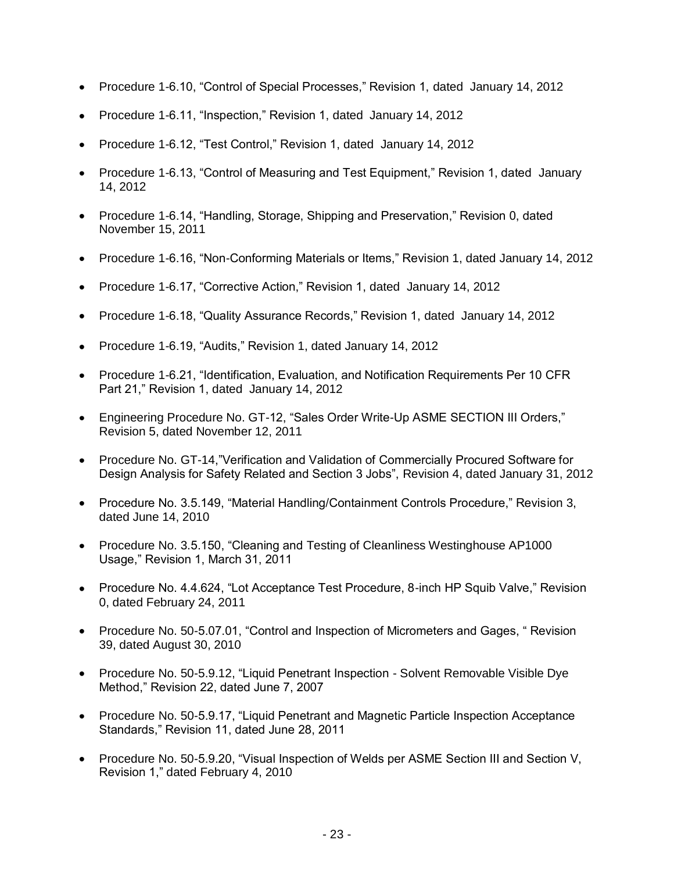- Procedure 1-6.10, "Control of Special Processes," Revision 1, dated January 14, 2012
- Procedure 1-6.11, "Inspection," Revision 1, dated January 14, 2012
- Procedure 1-6.12, "Test Control," Revision 1, dated January 14, 2012
- Procedure 1-6.13, "Control of Measuring and Test Equipment," Revision 1, dated January 14, 2012
- Procedure 1-6.14, "Handling, Storage, Shipping and Preservation," Revision 0, dated November 15, 2011
- Procedure 1-6.16, "Non-Conforming Materials or Items," Revision 1, dated January 14, 2012
- Procedure 1-6.17, "Corrective Action," Revision 1, dated January 14, 2012
- Procedure 1-6.18, "Quality Assurance Records," Revision 1, dated January 14, 2012
- Procedure 1-6.19, "Audits," Revision 1, dated January 14, 2012
- Procedure 1-6.21, "Identification, Evaluation, and Notification Requirements Per 10 CFR Part 21," Revision 1, dated January 14, 2012
- Engineering Procedure No. GT-12, "Sales Order Write-Up ASME SECTION III Orders," Revision 5, dated November 12, 2011
- Procedure No. GT-14,"Verification and Validation of Commercially Procured Software for Design Analysis for Safety Related and Section 3 Jobs", Revision 4, dated January 31, 2012
- Procedure No. 3.5.149, "Material Handling/Containment Controls Procedure," Revision 3, dated June 14, 2010
- Procedure No. 3.5.150, "Cleaning and Testing of Cleanliness Westinghouse AP1000 Usage," Revision 1, March 31, 2011
- Procedure No. 4.4.624, "Lot Acceptance Test Procedure, 8-inch HP Squib Valve," Revision 0, dated February 24, 2011
- Procedure No. 50-5.07.01, "Control and Inspection of Micrometers and Gages, "Revision 39, dated August 30, 2010
- Procedure No. 50-5.9.12, "Liquid Penetrant Inspection Solvent Removable Visible Dye Method," Revision 22, dated June 7, 2007
- Procedure No. 50-5.9.17, "Liquid Penetrant and Magnetic Particle Inspection Acceptance Standards," Revision 11, dated June 28, 2011
- Procedure No. 50-5.9.20, "Visual Inspection of Welds per ASME Section III and Section V, Revision 1," dated February 4, 2010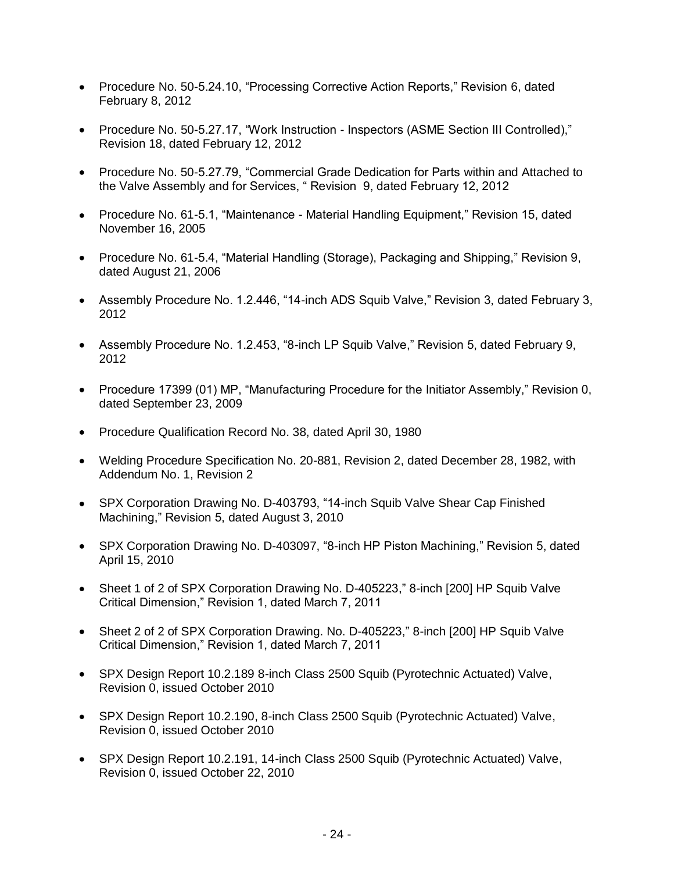- Procedure No. 50-5.24.10, "Processing Corrective Action Reports," Revision 6, dated February 8, 2012
- Procedure No. 50-5.27.17, "Work Instruction Inspectors (ASME Section III Controlled)," Revision 18, dated February 12, 2012
- Procedure No. 50-5.27.79, "Commercial Grade Dedication for Parts within and Attached to the Valve Assembly and for Services, " Revision 9, dated February 12, 2012
- Procedure No. 61-5.1, "Maintenance Material Handling Equipment," Revision 15, dated November 16, 2005
- Procedure No. 61-5.4, "Material Handling (Storage), Packaging and Shipping," Revision 9, dated August 21, 2006
- Assembly Procedure No. 1.2.446, "14-inch ADS Squib Valve," Revision 3, dated February 3, 2012
- Assembly Procedure No. 1.2.453, "8-inch LP Squib Valve," Revision 5, dated February 9, 2012
- Procedure 17399 (01) MP, "Manufacturing Procedure for the Initiator Assembly," Revision 0, dated September 23, 2009
- Procedure Qualification Record No. 38, dated April 30, 1980
- Welding Procedure Specification No. 20-881, Revision 2, dated December 28, 1982, with Addendum No. 1, Revision 2
- SPX Corporation Drawing No. D-403793, "14-inch Squib Valve Shear Cap Finished Machining," Revision 5, dated August 3, 2010
- SPX Corporation Drawing No. D-403097, "8-inch HP Piston Machining," Revision 5, dated April 15, 2010
- Sheet 1 of 2 of SPX Corporation Drawing No. D-405223," 8-inch [200] HP Squib Valve Critical Dimension," Revision 1, dated March 7, 2011
- Sheet 2 of 2 of SPX Corporation Drawing. No. D-405223," 8-inch [200] HP Squib Valve Critical Dimension," Revision 1, dated March 7, 2011
- SPX Design Report 10.2.189 8-inch Class 2500 Squib (Pyrotechnic Actuated) Valve, Revision 0, issued October 2010
- SPX Design Report 10.2.190, 8-inch Class 2500 Squib (Pyrotechnic Actuated) Valve, Revision 0, issued October 2010
- SPX Design Report 10.2.191, 14-inch Class 2500 Squib (Pyrotechnic Actuated) Valve, Revision 0, issued October 22, 2010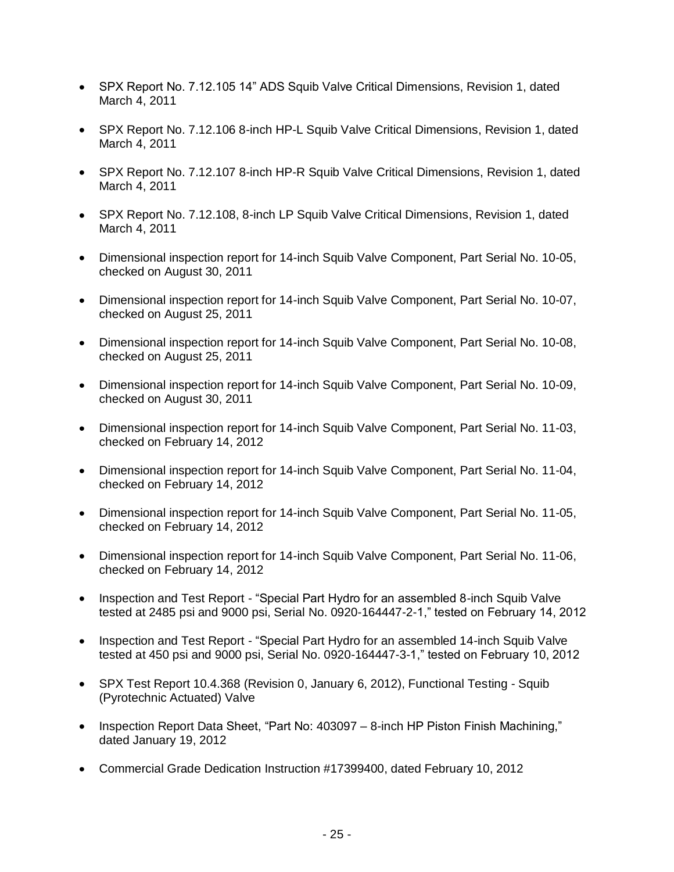- SPX Report No. 7.12.105 14" ADS Squib Valve Critical Dimensions, Revision 1, dated March 4, 2011
- SPX Report No. 7.12.106 8-inch HP-L Squib Valve Critical Dimensions, Revision 1, dated March 4, 2011
- SPX Report No. 7.12.107 8-inch HP-R Squib Valve Critical Dimensions, Revision 1, dated March 4, 2011
- SPX Report No. 7.12.108, 8-inch LP Squib Valve Critical Dimensions, Revision 1, dated March 4, 2011
- Dimensional inspection report for 14-inch Squib Valve Component, Part Serial No. 10-05, checked on August 30, 2011
- Dimensional inspection report for 14-inch Squib Valve Component, Part Serial No. 10-07, checked on August 25, 2011
- Dimensional inspection report for 14-inch Squib Valve Component, Part Serial No. 10-08, checked on August 25, 2011
- Dimensional inspection report for 14-inch Squib Valve Component, Part Serial No. 10-09, checked on August 30, 2011
- Dimensional inspection report for 14-inch Squib Valve Component, Part Serial No. 11-03, checked on February 14, 2012
- Dimensional inspection report for 14-inch Squib Valve Component, Part Serial No. 11-04, checked on February 14, 2012
- Dimensional inspection report for 14-inch Squib Valve Component, Part Serial No. 11-05, checked on February 14, 2012
- Dimensional inspection report for 14-inch Squib Valve Component, Part Serial No. 11-06, checked on February 14, 2012
- Inspection and Test Report "Special Part Hydro for an assembled 8-inch Squib Valve tested at 2485 psi and 9000 psi, Serial No. 0920-164447-2-1," tested on February 14, 2012
- Inspection and Test Report "Special Part Hydro for an assembled 14-inch Squib Valve tested at 450 psi and 9000 psi, Serial No. 0920-164447-3-1," tested on February 10, 2012
- SPX Test Report 10.4.368 (Revision 0, January 6, 2012), Functional Testing Squib (Pyrotechnic Actuated) Valve
- Inspection Report Data Sheet, "Part No: 403097 8-inch HP Piston Finish Machining." dated January 19, 2012
- Commercial Grade Dedication Instruction #17399400, dated February 10, 2012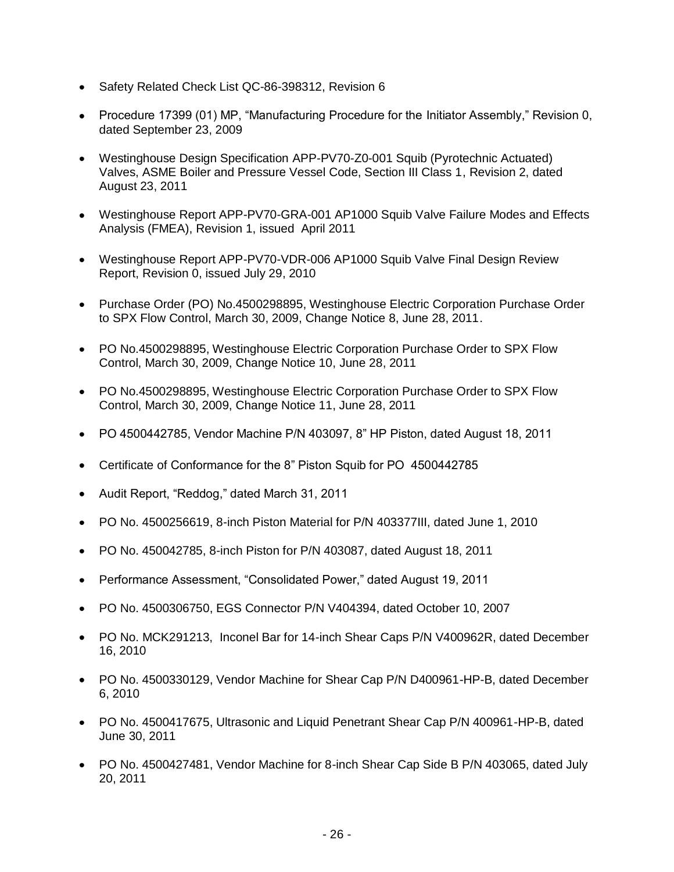- Safety Related Check List QC-86-398312, Revision 6
- Procedure 17399 (01) MP, "Manufacturing Procedure for the Initiator Assembly," Revision 0, dated September 23, 2009
- Westinghouse Design Specification APP-PV70-Z0-001 Squib (Pyrotechnic Actuated) Valves, ASME Boiler and Pressure Vessel Code, Section III Class 1, Revision 2, dated August 23, 2011
- Westinghouse Report APP-PV70-GRA-001 AP1000 Squib Valve Failure Modes and Effects Analysis (FMEA), Revision 1, issued April 2011
- Westinghouse Report APP-PV70-VDR-006 AP1000 Squib Valve Final Design Review Report, Revision 0, issued July 29, 2010
- Purchase Order (PO) No.4500298895, Westinghouse Electric Corporation Purchase Order to SPX Flow Control, March 30, 2009, Change Notice 8, June 28, 2011.
- PO No.4500298895, Westinghouse Electric Corporation Purchase Order to SPX Flow Control, March 30, 2009, Change Notice 10, June 28, 2011
- PO No.4500298895, Westinghouse Electric Corporation Purchase Order to SPX Flow Control, March 30, 2009, Change Notice 11, June 28, 2011
- PO 4500442785, Vendor Machine P/N 403097, 8" HP Piston, dated August 18, 2011
- Certificate of Conformance for the 8" Piston Squib for PO 4500442785
- Audit Report, "Reddog," dated March 31, 2011
- PO No. 4500256619, 8-inch Piston Material for P/N 403377III, dated June 1, 2010
- PO No. 450042785, 8-inch Piston for P/N 403087, dated August 18, 2011
- Performance Assessment, "Consolidated Power," dated August 19, 2011
- PO No. 4500306750, EGS Connector P/N V404394, dated October 10, 2007
- PO No. MCK291213, Inconel Bar for 14-inch Shear Caps P/N V400962R, dated December 16, 2010
- PO No. 4500330129, Vendor Machine for Shear Cap P/N D400961-HP-B, dated December 6, 2010
- PO No. 4500417675, Ultrasonic and Liquid Penetrant Shear Cap P/N 400961-HP-B, dated June 30, 2011
- PO No. 4500427481, Vendor Machine for 8-inch Shear Cap Side B P/N 403065, dated July 20, 2011